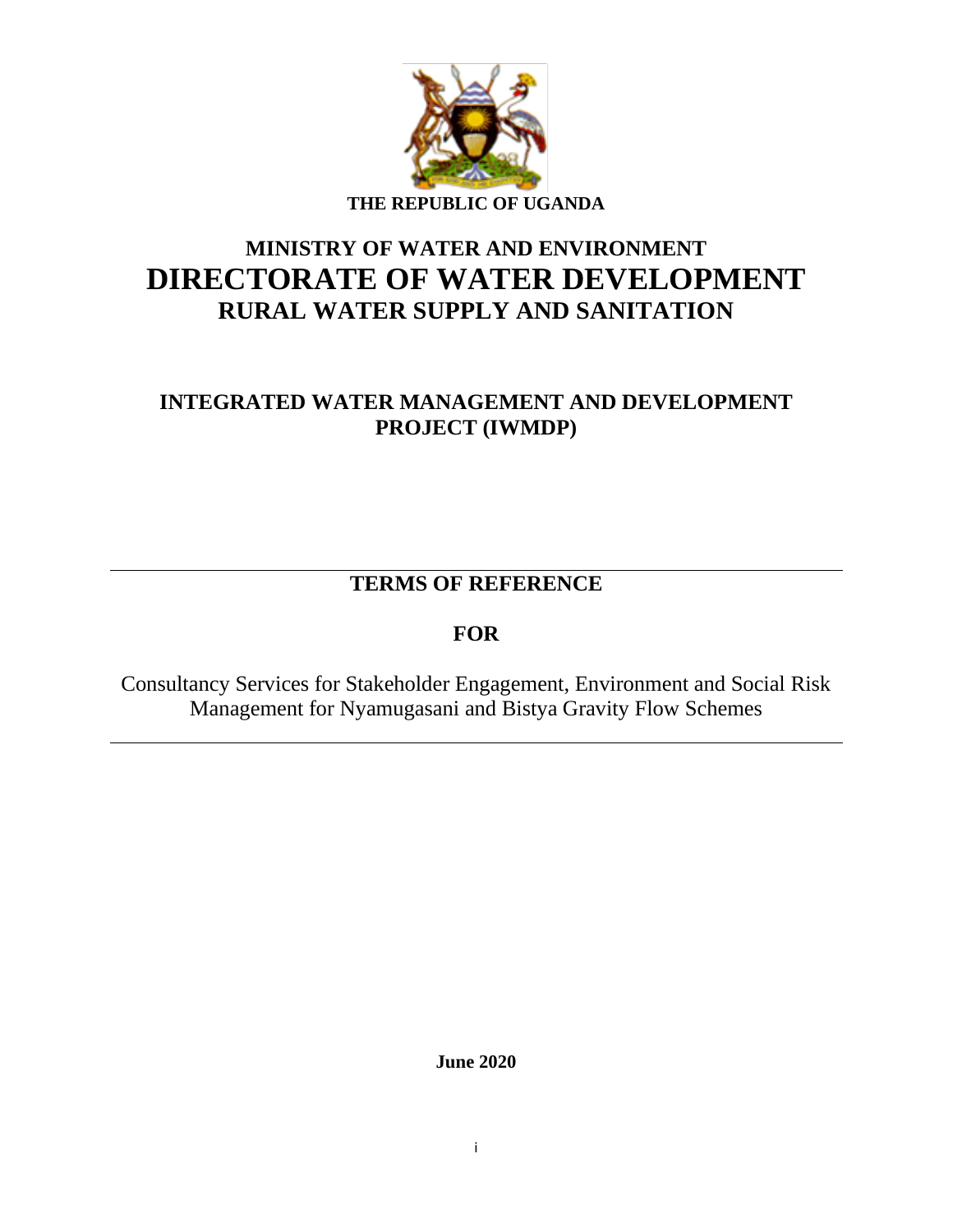

# **MINISTRY OF WATER AND ENVIRONMENT DIRECTORATE OF WATER DEVELOPMENT RURAL WATER SUPPLY AND SANITATION**

## **INTEGRATED WATER MANAGEMENT AND DEVELOPMENT PROJECT (IWMDP)**

**TERMS OF REFERENCE**

## **FOR**

Consultancy Services for Stakeholder Engagement, Environment and Social Risk Management for Nyamugasani and Bistya Gravity Flow Schemes

**June 2020**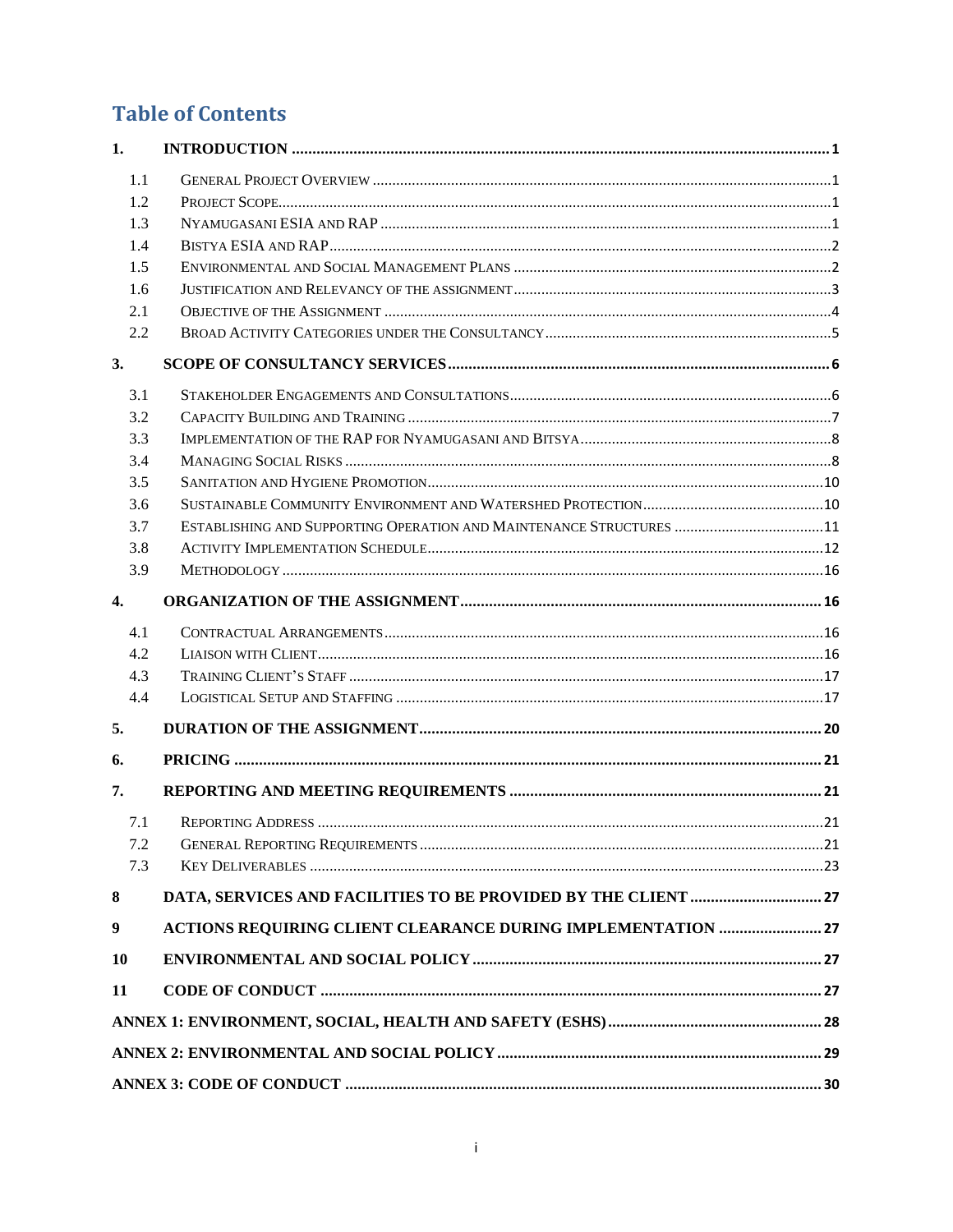# **Table of Contents**

| 1.  |                                                                      |  |
|-----|----------------------------------------------------------------------|--|
| 1.1 |                                                                      |  |
| 1.2 |                                                                      |  |
| 1.3 |                                                                      |  |
| 1.4 |                                                                      |  |
| 1.5 |                                                                      |  |
| 1.6 |                                                                      |  |
| 2.1 |                                                                      |  |
| 2.2 |                                                                      |  |
| 3.  |                                                                      |  |
| 3.1 |                                                                      |  |
| 3.2 |                                                                      |  |
| 3.3 |                                                                      |  |
| 3.4 |                                                                      |  |
| 3.5 |                                                                      |  |
| 3.6 |                                                                      |  |
| 3.7 | ESTABLISHING AND SUPPORTING OPERATION AND MAINTENANCE STRUCTURES  11 |  |
| 3.8 |                                                                      |  |
| 3.9 |                                                                      |  |
| 4.  |                                                                      |  |
| 4.1 |                                                                      |  |
| 4.2 |                                                                      |  |
| 4.3 |                                                                      |  |
| 4.4 |                                                                      |  |
| 5.  |                                                                      |  |
| 6.  |                                                                      |  |
| 7.  |                                                                      |  |
| 7.1 |                                                                      |  |
| 7.2 |                                                                      |  |
| 7.3 |                                                                      |  |
| 8   |                                                                      |  |
| 9   | ACTIONS REQUIRING CLIENT CLEARANCE DURING IMPLEMENTATION  27         |  |
| 10  |                                                                      |  |
| 11  |                                                                      |  |
|     |                                                                      |  |
|     |                                                                      |  |
|     |                                                                      |  |
|     |                                                                      |  |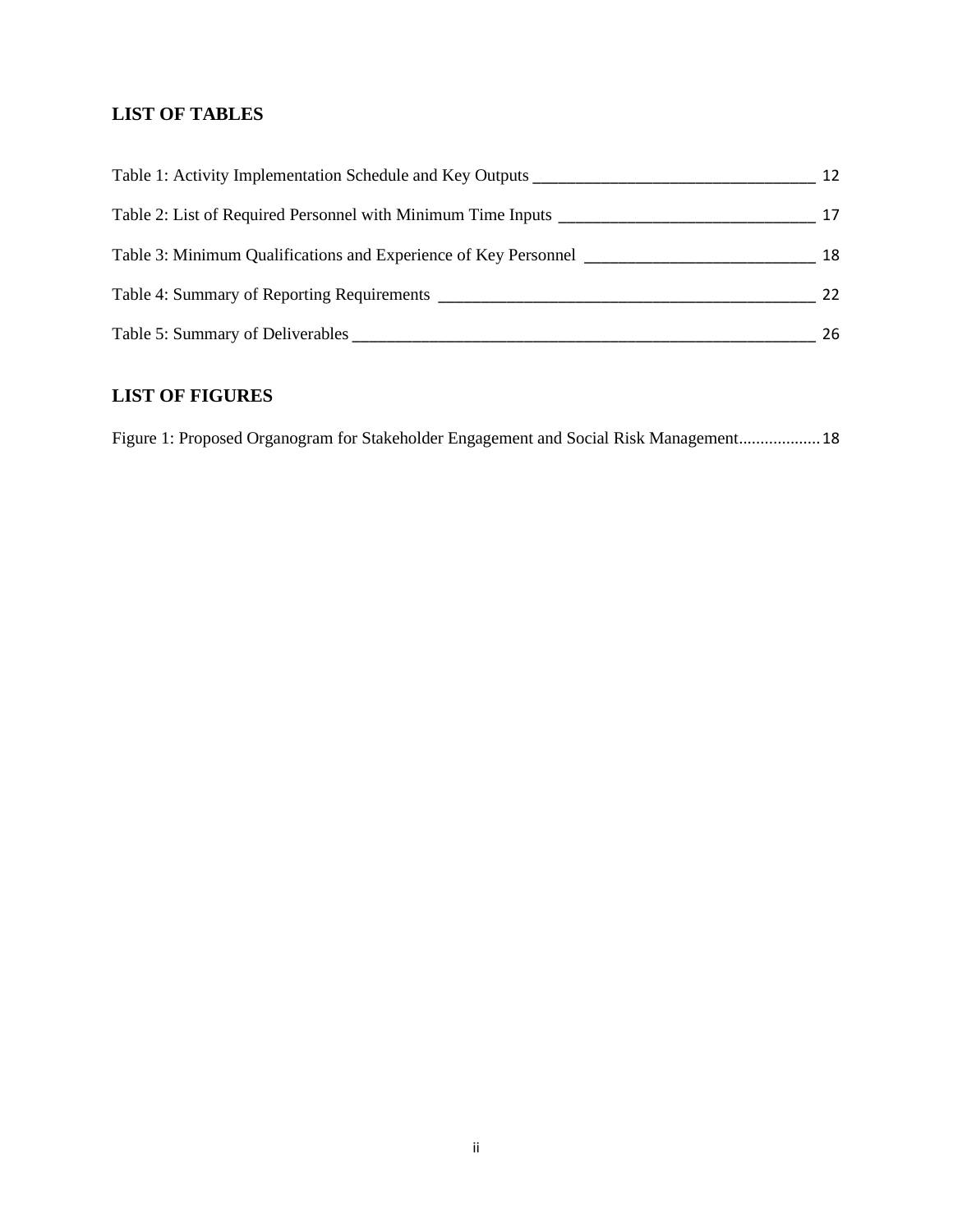### **LIST OF TABLES**

| Table 1: Activity Implementation Schedule and Key Outputs       | 12 |
|-----------------------------------------------------------------|----|
| Table 2: List of Required Personnel with Minimum Time Inputs    | 17 |
| Table 3: Minimum Qualifications and Experience of Key Personnel | 18 |
| Table 4: Summary of Reporting Requirements                      | 22 |
| Table 5: Summary of Deliverables                                | 26 |

## **LIST OF FIGURES**

[Figure 1: Proposed Organogram for Stakeholder Engagement and Social Risk Management](file:///D:/MWE/World%20Bank/ToRs/TORS_FOR_NYAMUGASANI___BISTYA_-_STAKEHOLDER%20ENGAGEMENT%20-%209-6-2020.doc%23_Toc42598234)...................18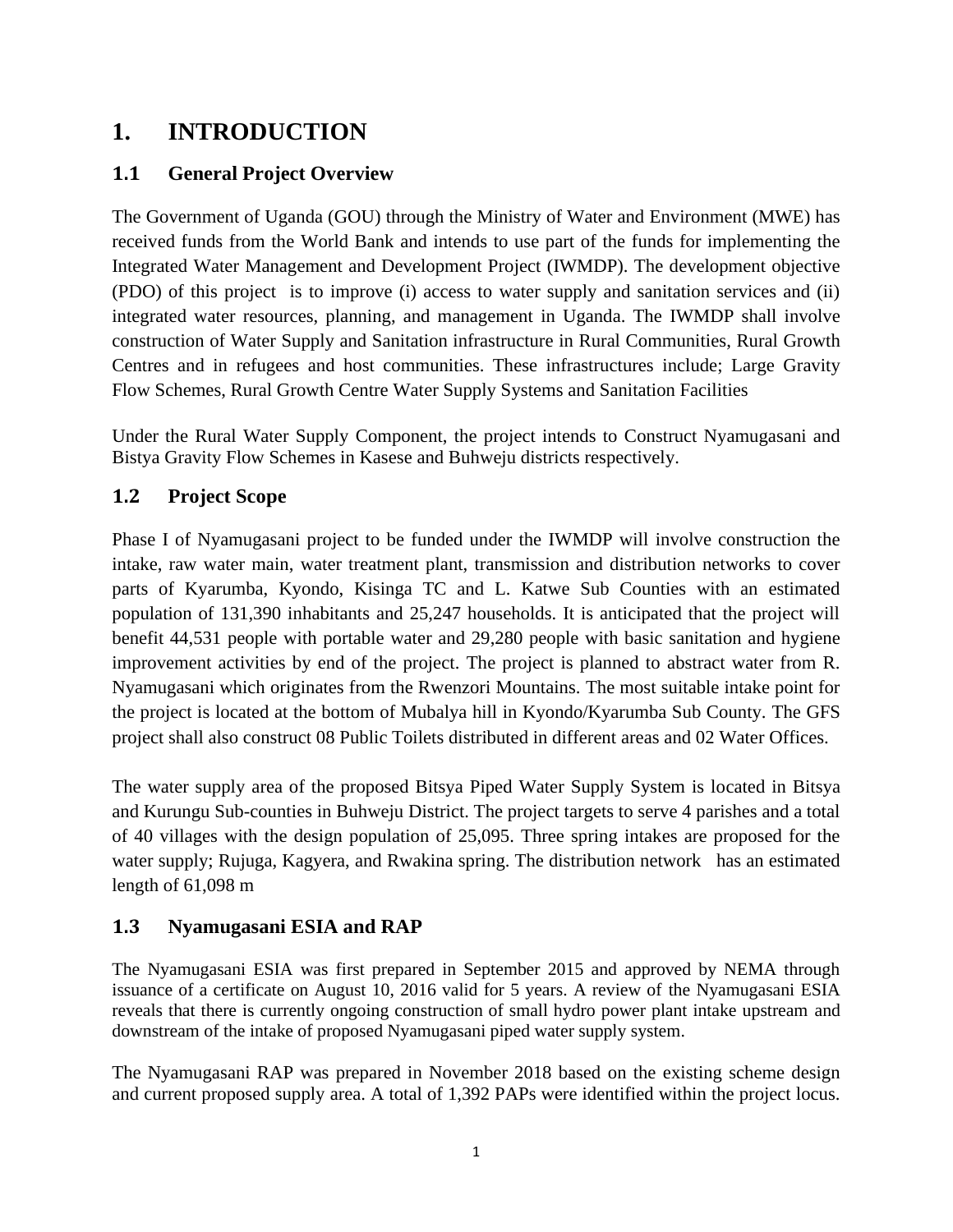# <span id="page-3-0"></span>**1. INTRODUCTION**

## <span id="page-3-1"></span>**1.1 General Project Overview**

The Government of Uganda (GOU) through the Ministry of Water and Environment (MWE) has received funds from the World Bank and intends to use part of the funds for implementing the Integrated Water Management and Development Project (IWMDP). The development objective (PDO) of this project is to improve (i) access to water supply and sanitation services and (ii) integrated water resources, planning, and management in Uganda. The IWMDP shall involve construction of Water Supply and Sanitation infrastructure in Rural Communities, Rural Growth Centres and in refugees and host communities. These infrastructures include; Large Gravity Flow Schemes, Rural Growth Centre Water Supply Systems and Sanitation Facilities

Under the Rural Water Supply Component, the project intends to Construct Nyamugasani and Bistya Gravity Flow Schemes in Kasese and Buhweju districts respectively.

## <span id="page-3-2"></span>**1.2 Project Scope**

Phase I of Nyamugasani project to be funded under the IWMDP will involve construction the intake, raw water main, water treatment plant, transmission and distribution networks to cover parts of Kyarumba, Kyondo, Kisinga TC and L. Katwe Sub Counties with an estimated population of 131,390 inhabitants and 25,247 households. It is anticipated that the project will benefit 44,531 people with portable water and 29,280 people with basic sanitation and hygiene improvement activities by end of the project. The project is planned to abstract water from R. Nyamugasani which originates from the Rwenzori Mountains. The most suitable intake point for the project is located at the bottom of Mubalya hill in Kyondo/Kyarumba Sub County. The GFS project shall also construct 08 Public Toilets distributed in different areas and 02 Water Offices.

The water supply area of the proposed Bitsya Piped Water Supply System is located in Bitsya and Kurungu Sub-counties in Buhweju District. The project targets to serve 4 parishes and a total of 40 villages with the design population of 25,095. Three spring intakes are proposed for the water supply; Rujuga, Kagyera, and Rwakina spring. The distribution network has an estimated length of 61,098 m

### <span id="page-3-3"></span>**1.3 Nyamugasani ESIA and RAP**

The Nyamugasani ESIA was first prepared in September 2015 and approved by NEMA through issuance of a certificate on August 10, 2016 valid for 5 years. A review of the Nyamugasani ESIA reveals that there is currently ongoing construction of small hydro power plant intake upstream and downstream of the intake of proposed Nyamugasani piped water supply system.

The Nyamugasani RAP was prepared in November 2018 based on the existing scheme design and current proposed supply area. A total of 1,392 PAPs were identified within the project locus.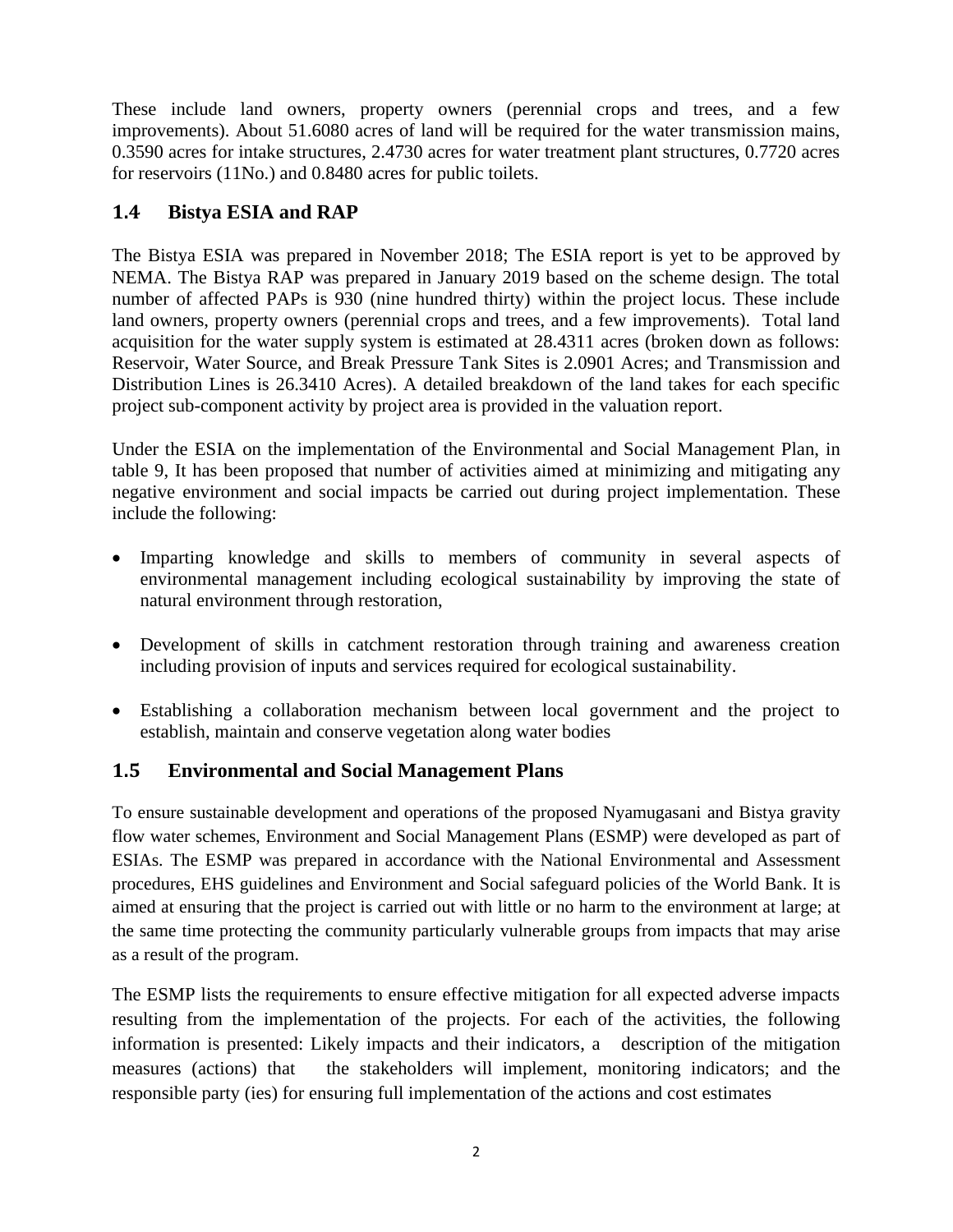These include land owners, property owners (perennial crops and trees, and a few improvements). About 51.6080 acres of land will be required for the water transmission mains, 0.3590 acres for intake structures, 2.4730 acres for water treatment plant structures, 0.7720 acres for reservoirs (11No.) and 0.8480 acres for public toilets.

## <span id="page-4-0"></span>**1.4 Bistya ESIA and RAP**

The Bistya ESIA was prepared in November 2018; The ESIA report is yet to be approved by NEMA. The Bistya RAP was prepared in January 2019 based on the scheme design. The total number of affected PAPs is 930 (nine hundred thirty) within the project locus. These include land owners, property owners (perennial crops and trees, and a few improvements). Total land acquisition for the water supply system is estimated at 28.4311 acres (broken down as follows: Reservoir, Water Source, and Break Pressure Tank Sites is 2.0901 Acres; and Transmission and Distribution Lines is 26.3410 Acres). A detailed breakdown of the land takes for each specific project sub-component activity by project area is provided in the valuation report.

Under the ESIA on the implementation of the Environmental and Social Management Plan, in table 9, It has been proposed that number of activities aimed at minimizing and mitigating any negative environment and social impacts be carried out during project implementation. These include the following:

- Imparting knowledge and skills to members of community in several aspects of environmental management including ecological sustainability by improving the state of natural environment through restoration,
- Development of skills in catchment restoration through training and awareness creation including provision of inputs and services required for ecological sustainability.
- Establishing a collaboration mechanism between local government and the project to establish, maintain and conserve vegetation along water bodies

## <span id="page-4-1"></span>**1.5 Environmental and Social Management Plans**

To ensure sustainable development and operations of the proposed Nyamugasani and Bistya gravity flow water schemes, Environment and Social Management Plans (ESMP) were developed as part of ESIAs. The ESMP was prepared in accordance with the National Environmental and Assessment procedures, EHS guidelines and Environment and Social safeguard policies of the World Bank. It is aimed at ensuring that the project is carried out with little or no harm to the environment at large; at the same time protecting the community particularly vulnerable groups from impacts that may arise as a result of the program.

The ESMP lists the requirements to ensure effective mitigation for all expected adverse impacts resulting from the implementation of the projects. For each of the activities, the following information is presented: Likely impacts and their indicators, a description of the mitigation measures (actions) that the stakeholders will implement, monitoring indicators; and the responsible party (ies) for ensuring full implementation of the actions and cost estimates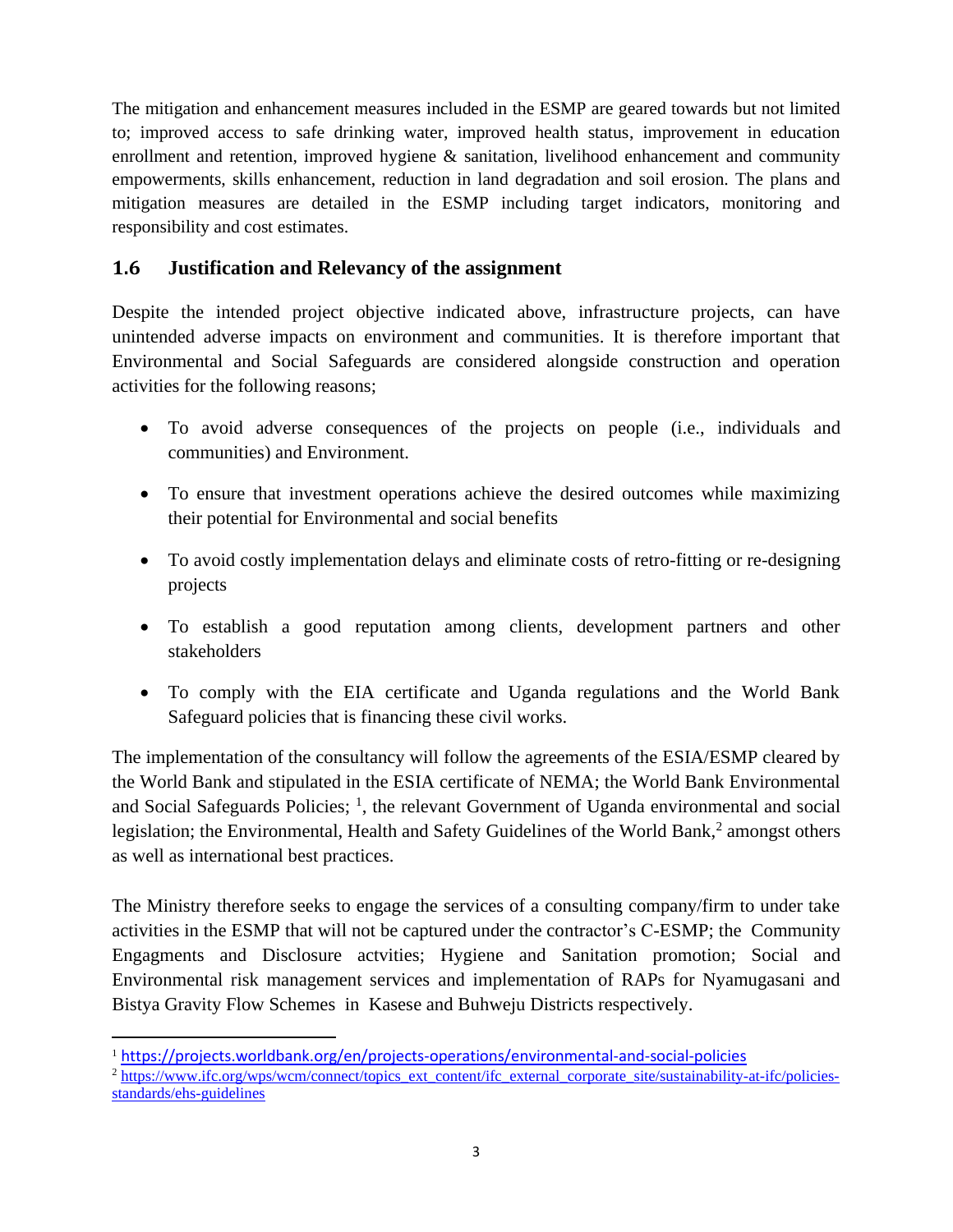The mitigation and enhancement measures included in the ESMP are geared towards but not limited to; improved access to safe drinking water, improved health status, improvement in education enrollment and retention, improved hygiene & sanitation, livelihood enhancement and community empowerments, skills enhancement, reduction in land degradation and soil erosion. The plans and mitigation measures are detailed in the ESMP including target indicators, monitoring and responsibility and cost estimates.

## <span id="page-5-0"></span>**1.6 Justification and Relevancy of the assignment**

Despite the intended project objective indicated above, infrastructure projects, can have unintended adverse impacts on environment and communities. It is therefore important that Environmental and Social Safeguards are considered alongside construction and operation activities for the following reasons;

- To avoid adverse consequences of the projects on people (i.e., individuals and communities) and Environment.
- To ensure that investment operations achieve the desired outcomes while maximizing their potential for Environmental and social benefits
- To avoid costly implementation delays and eliminate costs of retro-fitting or re-designing projects
- To establish a good reputation among clients, development partners and other stakeholders
- To comply with the EIA certificate and Uganda regulations and the World Bank Safeguard policies that is financing these civil works.

The implementation of the consultancy will follow the agreements of the ESIA/ESMP cleared by the World Bank and stipulated in the ESIA certificate of NEMA; the World Bank Environmental and Social Safeguards Policies; <sup>1</sup>, the relevant Government of Uganda environmental and social legislation; the Environmental, Health and Safety Guidelines of the World Bank,<sup>2</sup> amongst others as well as international best practices.

The Ministry therefore seeks to engage the services of a consulting company/firm to under take activities in the ESMP that will not be captured under the contractor's C-ESMP; the Community Engagments and Disclosure actvities; Hygiene and Sanitation promotion; Social and Environmental risk management services and implementation of RAPs for Nyamugasani and Bistya Gravity Flow Schemes in Kasese and Buhweju Districts respectively.

<sup>1</sup> <https://projects.worldbank.org/en/projects-operations/environmental-and-social-policies>

<sup>2</sup> [https://www.ifc.org/wps/wcm/connect/topics\\_ext\\_content/ifc\\_external\\_corporate\\_site/sustainability-at-ifc/policies](https://www.ifc.org/wps/wcm/connect/topics_ext_content/ifc_external_corporate_site/sustainability-at-ifc/policies-standards/ehs-guidelines)[standards/ehs-guidelines](https://www.ifc.org/wps/wcm/connect/topics_ext_content/ifc_external_corporate_site/sustainability-at-ifc/policies-standards/ehs-guidelines)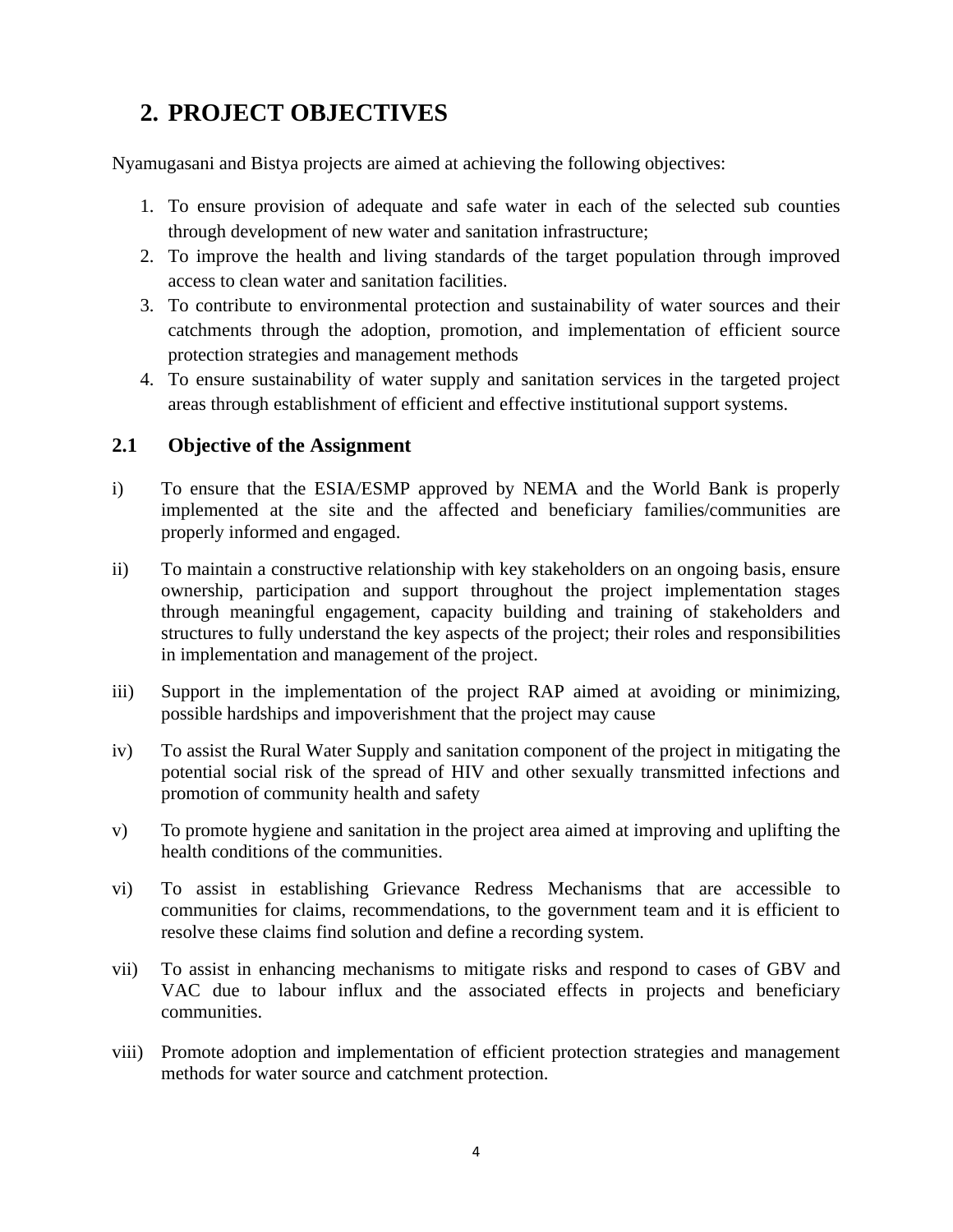# **2. PROJECT OBJECTIVES**

Nyamugasani and Bistya projects are aimed at achieving the following objectives:

- 1. To ensure provision of adequate and safe water in each of the selected sub counties through development of new water and sanitation infrastructure;
- 2. To improve the health and living standards of the target population through improved access to clean water and sanitation facilities.
- 3. To contribute to environmental protection and sustainability of water sources and their catchments through the adoption, promotion, and implementation of efficient source protection strategies and management methods
- 4. To ensure sustainability of water supply and sanitation services in the targeted project areas through establishment of efficient and effective institutional support systems.

#### <span id="page-6-0"></span>**2.1 Objective of the Assignment**

- i) To ensure that the ESIA/ESMP approved by NEMA and the World Bank is properly implemented at the site and the affected and beneficiary families/communities are properly informed and engaged.
- ii) To maintain a constructive relationship with key stakeholders on an ongoing basis, ensure ownership, participation and support throughout the project implementation stages through meaningful engagement, capacity building and training of stakeholders and structures to fully understand the key aspects of the project; their roles and responsibilities in implementation and management of the project.
- iii) Support in the implementation of the project RAP aimed at avoiding or minimizing, possible hardships and impoverishment that the project may cause
- iv) To assist the Rural Water Supply and sanitation component of the project in mitigating the potential social risk of the spread of HIV and other sexually transmitted infections and promotion of community health and safety
- v) To promote hygiene and sanitation in the project area aimed at improving and uplifting the health conditions of the communities.
- vi) To assist in establishing Grievance Redress Mechanisms that are accessible to communities for claims, recommendations, to the government team and it is efficient to resolve these claims find solution and define a recording system.
- vii) To assist in enhancing mechanisms to mitigate risks and respond to cases of GBV and VAC due to labour influx and the associated effects in projects and beneficiary communities.
- viii) Promote adoption and implementation of efficient protection strategies and management methods for water source and catchment protection.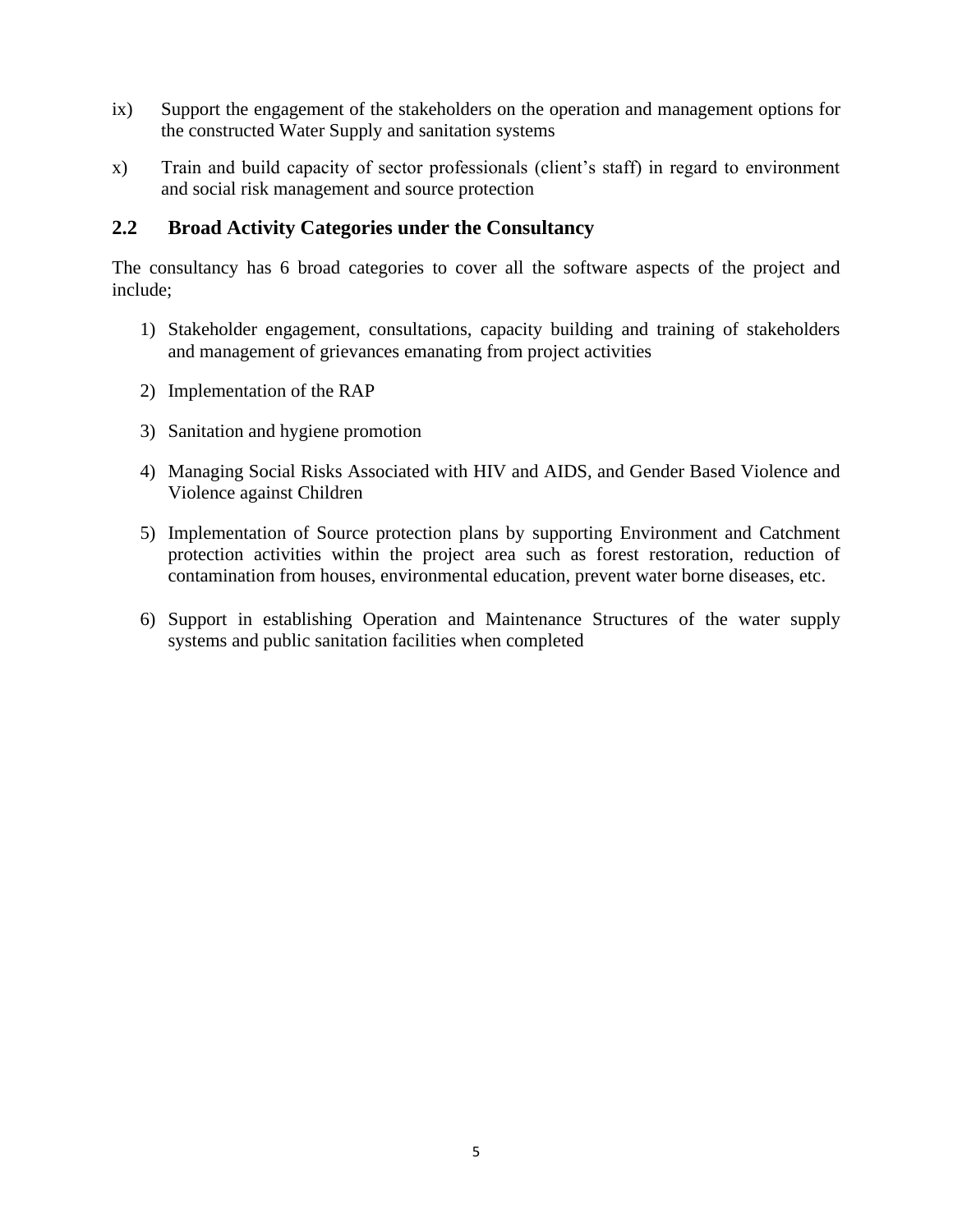- ix) Support the engagement of the stakeholders on the operation and management options for the constructed Water Supply and sanitation systems
- x) Train and build capacity of sector professionals (client's staff) in regard to environment and social risk management and source protection

#### <span id="page-7-0"></span>**2.2 Broad Activity Categories under the Consultancy**

The consultancy has 6 broad categories to cover all the software aspects of the project and include;

- 1) Stakeholder engagement, consultations, capacity building and training of stakeholders and management of grievances emanating from project activities
- 2) Implementation of the RAP
- 3) Sanitation and hygiene promotion
- 4) Managing Social Risks Associated with HIV and AIDS, and Gender Based Violence and Violence against Children
- 5) Implementation of Source protection plans by supporting Environment and Catchment protection activities within the project area such as forest restoration, reduction of contamination from houses, environmental education, prevent water borne diseases, etc.
- 6) Support in establishing Operation and Maintenance Structures of the water supply systems and public sanitation facilities when completed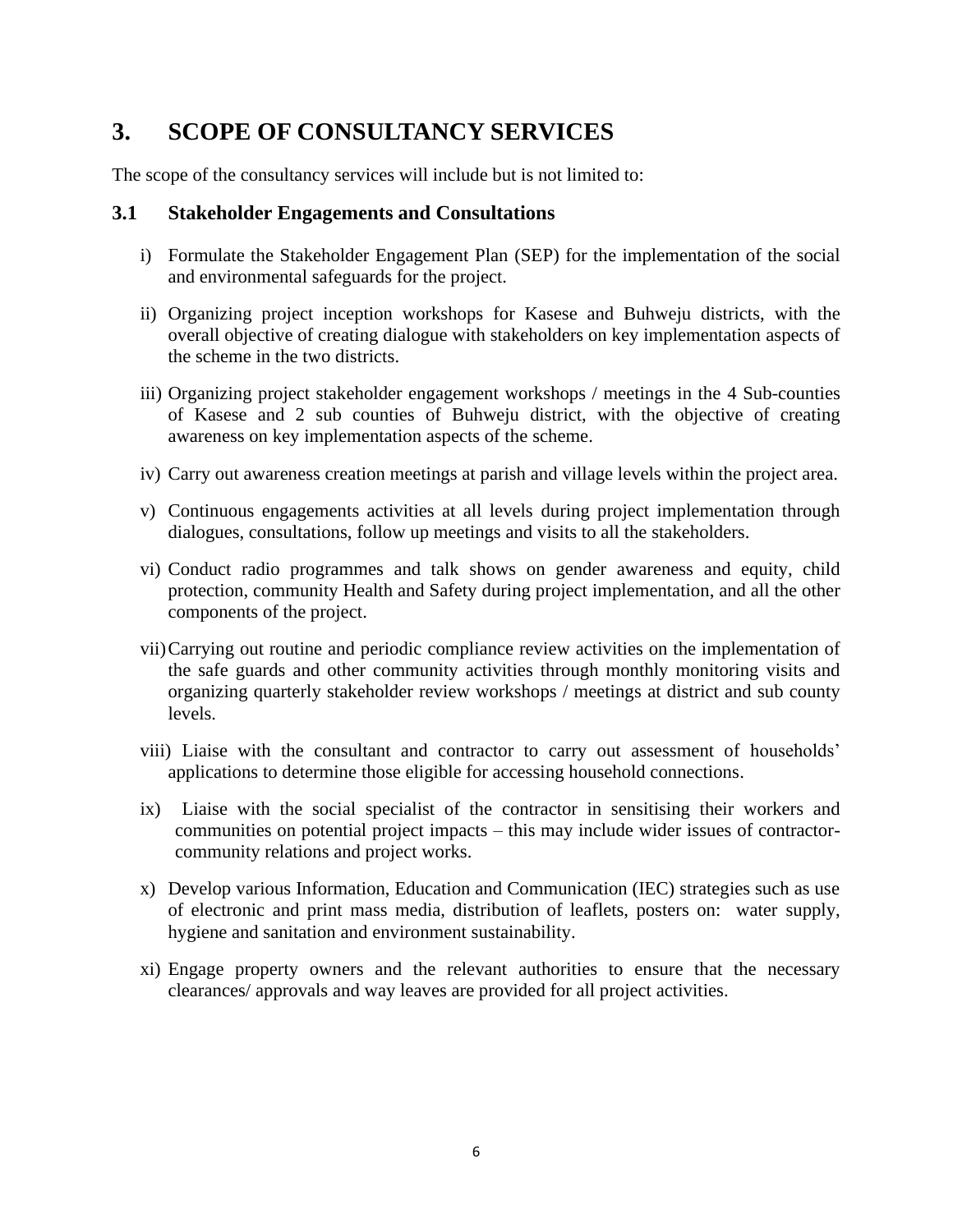# <span id="page-8-0"></span>**3. SCOPE OF CONSULTANCY SERVICES**

The scope of the consultancy services will include but is not limited to:

#### <span id="page-8-1"></span>**3.1 Stakeholder Engagements and Consultations**

- i) Formulate the Stakeholder Engagement Plan (SEP) for the implementation of the social and environmental safeguards for the project.
- ii) Organizing project inception workshops for Kasese and Buhweju districts, with the overall objective of creating dialogue with stakeholders on key implementation aspects of the scheme in the two districts.
- iii) Organizing project stakeholder engagement workshops / meetings in the 4 Sub-counties of Kasese and 2 sub counties of Buhweju district, with the objective of creating awareness on key implementation aspects of the scheme.
- iv) Carry out awareness creation meetings at parish and village levels within the project area.
- v) Continuous engagements activities at all levels during project implementation through dialogues, consultations, follow up meetings and visits to all the stakeholders.
- vi) Conduct radio programmes and talk shows on gender awareness and equity, child protection, community Health and Safety during project implementation, and all the other components of the project.
- vii)Carrying out routine and periodic compliance review activities on the implementation of the safe guards and other community activities through monthly monitoring visits and organizing quarterly stakeholder review workshops / meetings at district and sub county levels.
- viii) Liaise with the consultant and contractor to carry out assessment of households' applications to determine those eligible for accessing household connections.
- ix) Liaise with the social specialist of the contractor in sensitising their workers and communities on potential project impacts – this may include wider issues of contractorcommunity relations and project works.
- x) Develop various Information, Education and Communication (IEC) strategies such as use of electronic and print mass media, distribution of leaflets, posters on: water supply, hygiene and sanitation and environment sustainability.
- xi) Engage property owners and the relevant authorities to ensure that the necessary clearances/ approvals and way leaves are provided for all project activities.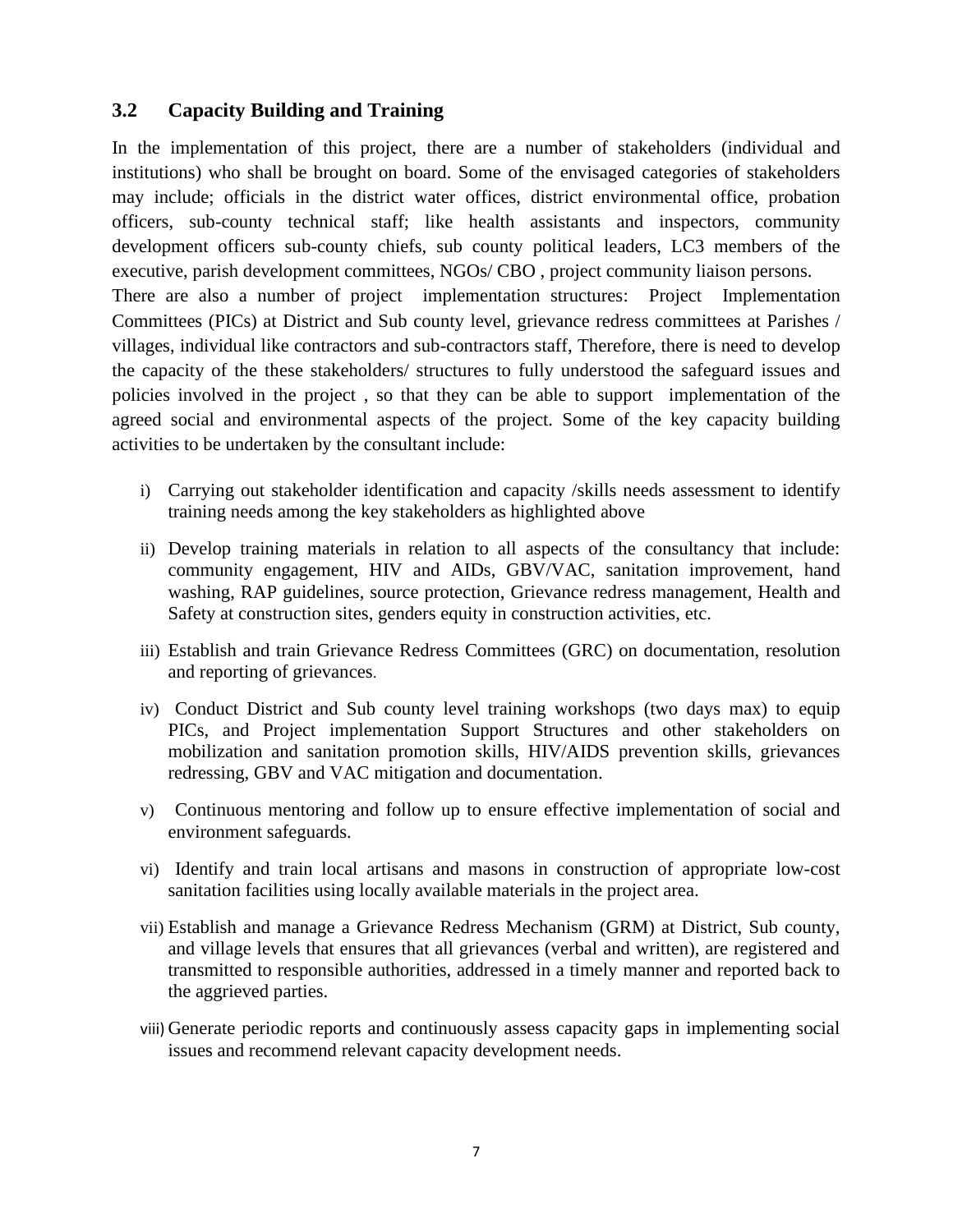### <span id="page-9-0"></span>**3.2 Capacity Building and Training**

In the implementation of this project, there are a number of stakeholders (individual and institutions) who shall be brought on board. Some of the envisaged categories of stakeholders may include; officials in the district water offices, district environmental office, probation officers, sub-county technical staff; like health assistants and inspectors, community development officers sub-county chiefs, sub county political leaders, LC3 members of the executive, parish development committees, NGOs/ CBO , project community liaison persons. There are also a number of project implementation structures: Project Implementation Committees (PICs) at District and Sub county level, grievance redress committees at Parishes / villages, individual like contractors and sub-contractors staff, Therefore, there is need to develop the capacity of the these stakeholders/ structures to fully understood the safeguard issues and policies involved in the project , so that they can be able to support implementation of the agreed social and environmental aspects of the project. Some of the key capacity building activities to be undertaken by the consultant include:

- i) Carrying out stakeholder identification and capacity /skills needs assessment to identify training needs among the key stakeholders as highlighted above
- ii) Develop training materials in relation to all aspects of the consultancy that include: community engagement, HIV and AIDs, GBV/VAC, sanitation improvement, hand washing, RAP guidelines, source protection, Grievance redress management, Health and Safety at construction sites, genders equity in construction activities, etc.
- iii) Establish and train Grievance Redress Committees (GRC) on documentation, resolution and reporting of grievances.
- iv) Conduct District and Sub county level training workshops (two days max) to equip PICs, and Project implementation Support Structures and other stakeholders on mobilization and sanitation promotion skills, HIV/AIDS prevention skills, grievances redressing, GBV and VAC mitigation and documentation.
- v) Continuous mentoring and follow up to ensure effective implementation of social and environment safeguards.
- vi) Identify and train local artisans and masons in construction of appropriate low-cost sanitation facilities using locally available materials in the project area.
- vii) Establish and manage a Grievance Redress Mechanism (GRM) at District, Sub county, and village levels that ensures that all grievances (verbal and written), are registered and transmitted to responsible authorities, addressed in a timely manner and reported back to the aggrieved parties.
- viii) Generate periodic reports and continuously assess capacity gaps in implementing social issues and recommend relevant capacity development needs.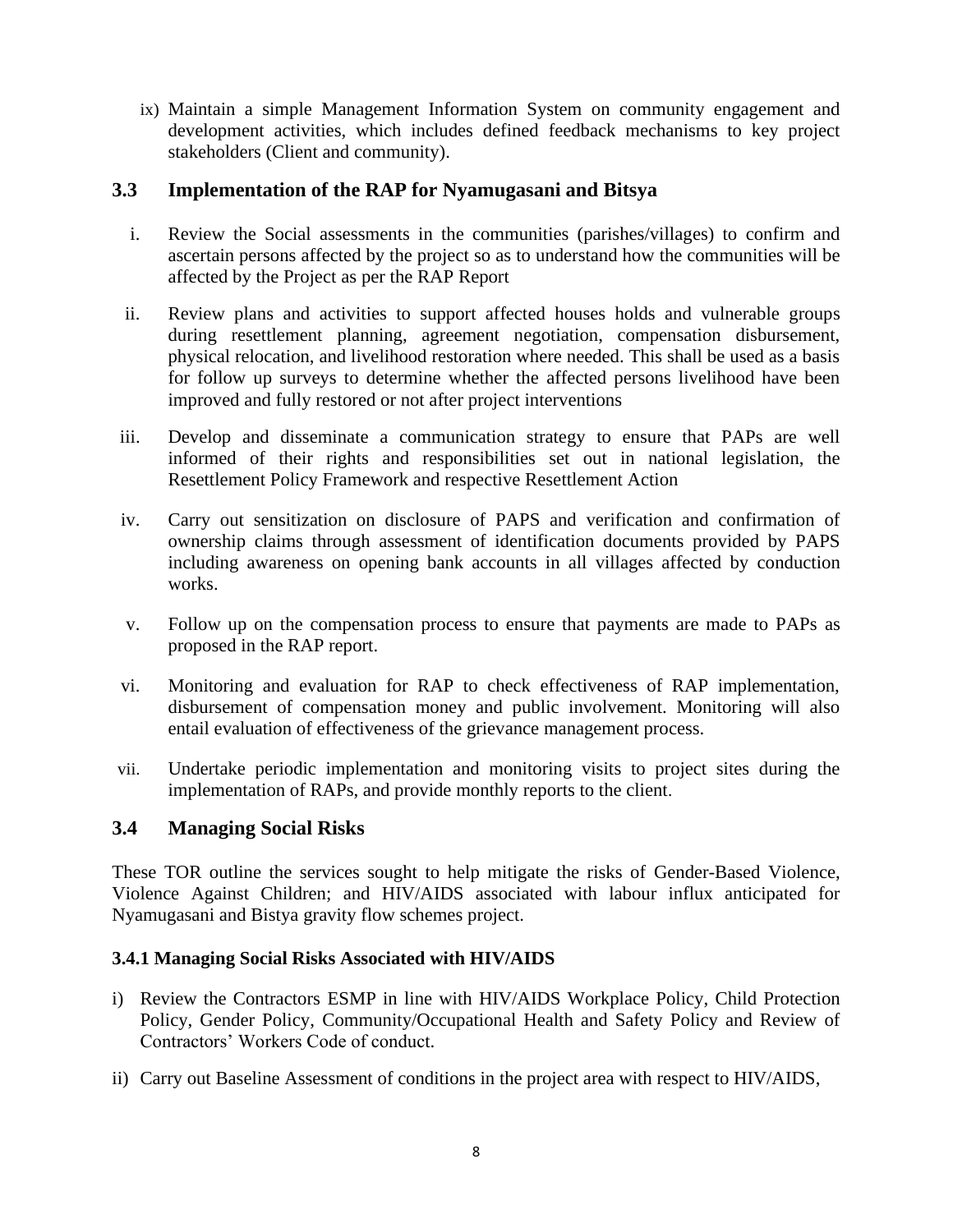ix) Maintain a simple Management Information System on community engagement and development activities, which includes defined feedback mechanisms to key project stakeholders (Client and community).

### <span id="page-10-0"></span>**3.3 Implementation of the RAP for Nyamugasani and Bitsya**

- i. Review the Social assessments in the communities (parishes/villages) to confirm and ascertain persons affected by the project so as to understand how the communities will be affected by the Project as per the RAP Report
- ii. Review plans and activities to support affected houses holds and vulnerable groups during resettlement planning, agreement negotiation, compensation disbursement, physical relocation, and livelihood restoration where needed. This shall be used as a basis for follow up surveys to determine whether the affected persons livelihood have been improved and fully restored or not after project interventions
- iii. Develop and disseminate a communication strategy to ensure that PAPs are well informed of their rights and responsibilities set out in national legislation, the Resettlement Policy Framework and respective Resettlement Action
- iv. Carry out sensitization on disclosure of PAPS and verification and confirmation of ownership claims through assessment of identification documents provided by PAPS including awareness on opening bank accounts in all villages affected by conduction works.
- v. Follow up on the compensation process to ensure that payments are made to PAPs as proposed in the RAP report.
- vi. Monitoring and evaluation for RAP to check effectiveness of RAP implementation, disbursement of compensation money and public involvement. Monitoring will also entail evaluation of effectiveness of the grievance management process.
- vii. Undertake periodic implementation and monitoring visits to project sites during the implementation of RAPs, and provide monthly reports to the client.

### <span id="page-10-1"></span>**3.4 Managing Social Risks**

These TOR outline the services sought to help mitigate the risks of Gender-Based Violence, Violence Against Children; and HIV/AIDS associated with labour influx anticipated for Nyamugasani and Bistya gravity flow schemes project.

#### **3.4.1 Managing Social Risks Associated with HIV/AIDS**

- i) Review the Contractors ESMP in line with HIV/AIDS Workplace Policy, Child Protection Policy, Gender Policy, Community/Occupational Health and Safety Policy and Review of Contractors' Workers Code of conduct.
- ii) Carry out Baseline Assessment of conditions in the project area with respect to HIV/AIDS,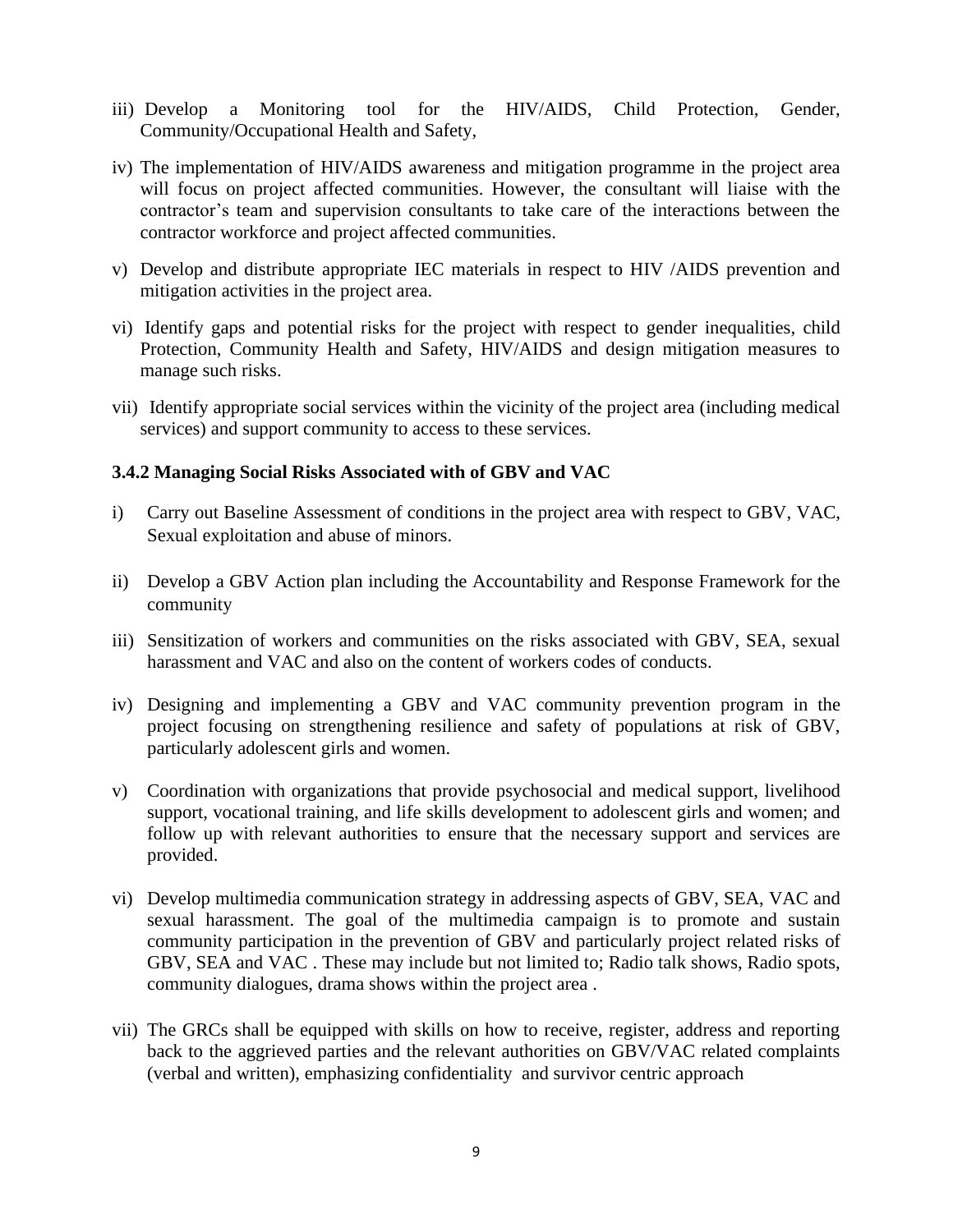- iii) Develop a Monitoring tool for the HIV/AIDS, Child Protection, Gender, Community/Occupational Health and Safety,
- iv) The implementation of HIV/AIDS awareness and mitigation programme in the project area will focus on project affected communities. However, the consultant will liaise with the contractor's team and supervision consultants to take care of the interactions between the contractor workforce and project affected communities.
- v) Develop and distribute appropriate IEC materials in respect to HIV /AIDS prevention and mitigation activities in the project area.
- vi) Identify gaps and potential risks for the project with respect to gender inequalities, child Protection, Community Health and Safety, HIV/AIDS and design mitigation measures to manage such risks.
- vii) Identify appropriate social services within the vicinity of the project area (including medical services) and support community to access to these services.

#### **3.4.2 Managing Social Risks Associated with of GBV and VAC**

- i) Carry out Baseline Assessment of conditions in the project area with respect to GBV, VAC, Sexual exploitation and abuse of minors.
- ii) Develop a GBV Action plan including the Accountability and Response Framework for the community
- iii) Sensitization of workers and communities on the risks associated with GBV, SEA, sexual harassment and VAC and also on the content of workers codes of conducts.
- iv) Designing and implementing a GBV and VAC community prevention program in the project focusing on strengthening resilience and safety of populations at risk of GBV, particularly adolescent girls and women.
- v) Coordination with organizations that provide psychosocial and medical support, livelihood support, vocational training, and life skills development to adolescent girls and women; and follow up with relevant authorities to ensure that the necessary support and services are provided.
- vi) Develop multimedia communication strategy in addressing aspects of GBV, SEA, VAC and sexual harassment. The goal of the multimedia campaign is to promote and sustain community participation in the prevention of GBV and particularly project related risks of GBV, SEA and VAC . These may include but not limited to; Radio talk shows, Radio spots, community dialogues, drama shows within the project area .
- vii) The GRCs shall be equipped with skills on how to receive, register, address and reporting back to the aggrieved parties and the relevant authorities on GBV/VAC related complaints (verbal and written), emphasizing confidentiality and survivor centric approach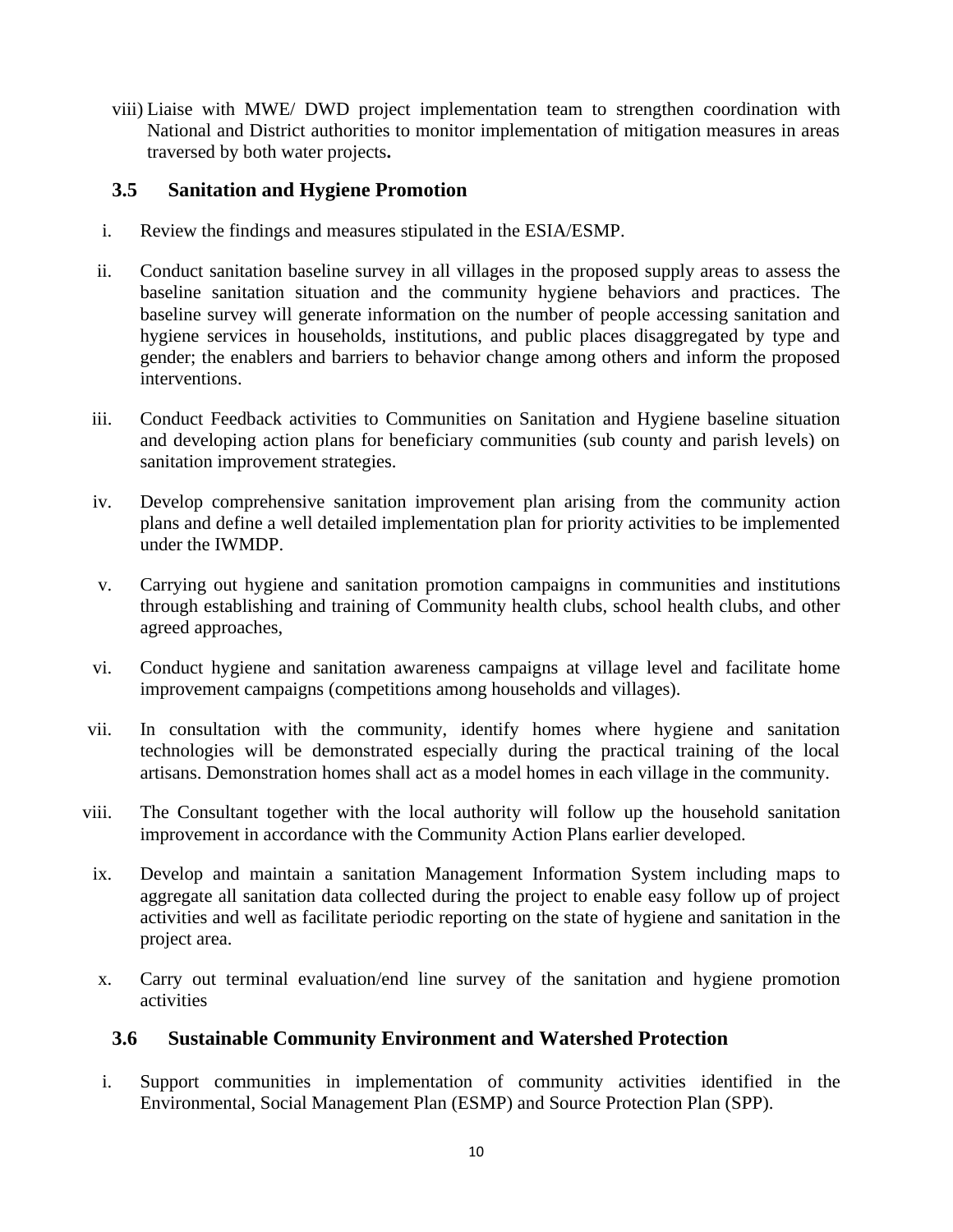viii) Liaise with MWE/ DWD project implementation team to strengthen coordination with National and District authorities to monitor implementation of mitigation measures in areas traversed by both water projects**.** 

### <span id="page-12-0"></span>**3.5 Sanitation and Hygiene Promotion**

- i. Review the findings and measures stipulated in the ESIA/ESMP.
- ii. Conduct sanitation baseline survey in all villages in the proposed supply areas to assess the baseline sanitation situation and the community hygiene behaviors and practices. The baseline survey will generate information on the number of people accessing sanitation and hygiene services in households, institutions, and public places disaggregated by type and gender; the enablers and barriers to behavior change among others and inform the proposed interventions.
- iii. Conduct Feedback activities to Communities on Sanitation and Hygiene baseline situation and developing action plans for beneficiary communities (sub county and parish levels) on sanitation improvement strategies.
- iv. Develop comprehensive sanitation improvement plan arising from the community action plans and define a well detailed implementation plan for priority activities to be implemented under the IWMDP.
- v. Carrying out hygiene and sanitation promotion campaigns in communities and institutions through establishing and training of Community health clubs, school health clubs, and other agreed approaches,
- vi. Conduct hygiene and sanitation awareness campaigns at village level and facilitate home improvement campaigns (competitions among households and villages).
- vii. In consultation with the community, identify homes where hygiene and sanitation technologies will be demonstrated especially during the practical training of the local artisans. Demonstration homes shall act as a model homes in each village in the community.
- viii. The Consultant together with the local authority will follow up the household sanitation improvement in accordance with the Community Action Plans earlier developed.
- ix. Develop and maintain a sanitation Management Information System including maps to aggregate all sanitation data collected during the project to enable easy follow up of project activities and well as facilitate periodic reporting on the state of hygiene and sanitation in the project area.
- x. Carry out terminal evaluation/end line survey of the sanitation and hygiene promotion activities

#### <span id="page-12-1"></span>**3.6 Sustainable Community Environment and Watershed Protection**

i. Support communities in implementation of community activities identified in the Environmental, Social Management Plan (ESMP) and Source Protection Plan (SPP).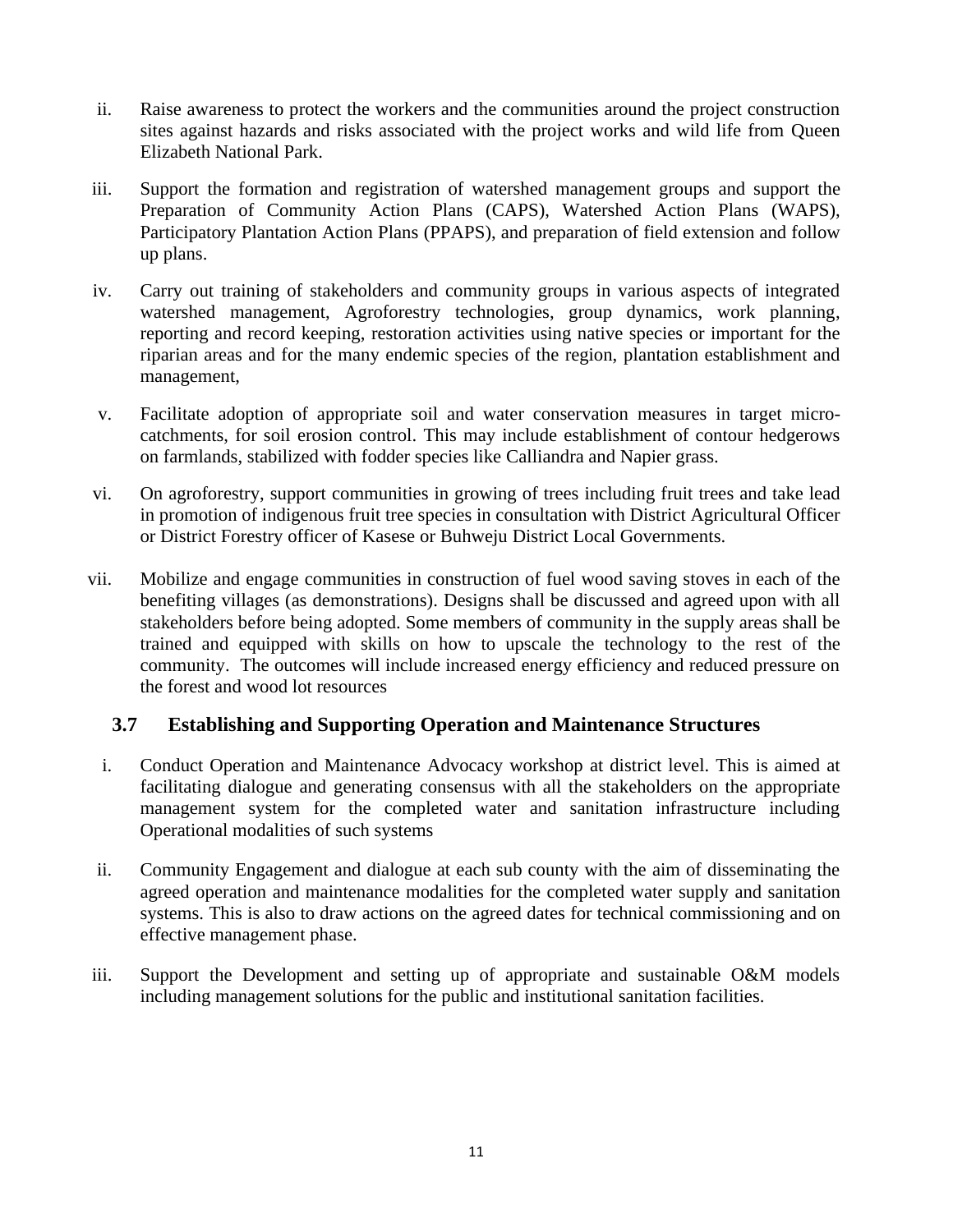- ii. Raise awareness to protect the workers and the communities around the project construction sites against hazards and risks associated with the project works and wild life from Queen Elizabeth National Park.
- iii. Support the formation and registration of watershed management groups and support the Preparation of Community Action Plans (CAPS), Watershed Action Plans (WAPS), Participatory Plantation Action Plans (PPAPS), and preparation of field extension and follow up plans.
- iv. Carry out training of stakeholders and community groups in various aspects of integrated watershed management, Agroforestry technologies, group dynamics, work planning, reporting and record keeping, restoration activities using native species or important for the riparian areas and for the many endemic species of the region, plantation establishment and management,
- v. Facilitate adoption of appropriate soil and water conservation measures in target microcatchments, for soil erosion control. This may include establishment of contour hedgerows on farmlands, stabilized with fodder species like Calliandra and Napier grass.
- vi. On agroforestry, support communities in growing of trees including fruit trees and take lead in promotion of indigenous fruit tree species in consultation with District Agricultural Officer or District Forestry officer of Kasese or Buhweju District Local Governments.
- vii. Mobilize and engage communities in construction of fuel wood saving stoves in each of the benefiting villages (as demonstrations). Designs shall be discussed and agreed upon with all stakeholders before being adopted. Some members of community in the supply areas shall be trained and equipped with skills on how to upscale the technology to the rest of the community. The outcomes will include increased energy efficiency and reduced pressure on the forest and wood lot resources

### <span id="page-13-0"></span>**3.7 Establishing and Supporting Operation and Maintenance Structures**

- i. Conduct Operation and Maintenance Advocacy workshop at district level. This is aimed at facilitating dialogue and generating consensus with all the stakeholders on the appropriate management system for the completed water and sanitation infrastructure including Operational modalities of such systems
- ii. Community Engagement and dialogue at each sub county with the aim of disseminating the agreed operation and maintenance modalities for the completed water supply and sanitation systems. This is also to draw actions on the agreed dates for technical commissioning and on effective management phase.
- iii. Support the Development and setting up of appropriate and sustainable O&M models including management solutions for the public and institutional sanitation facilities.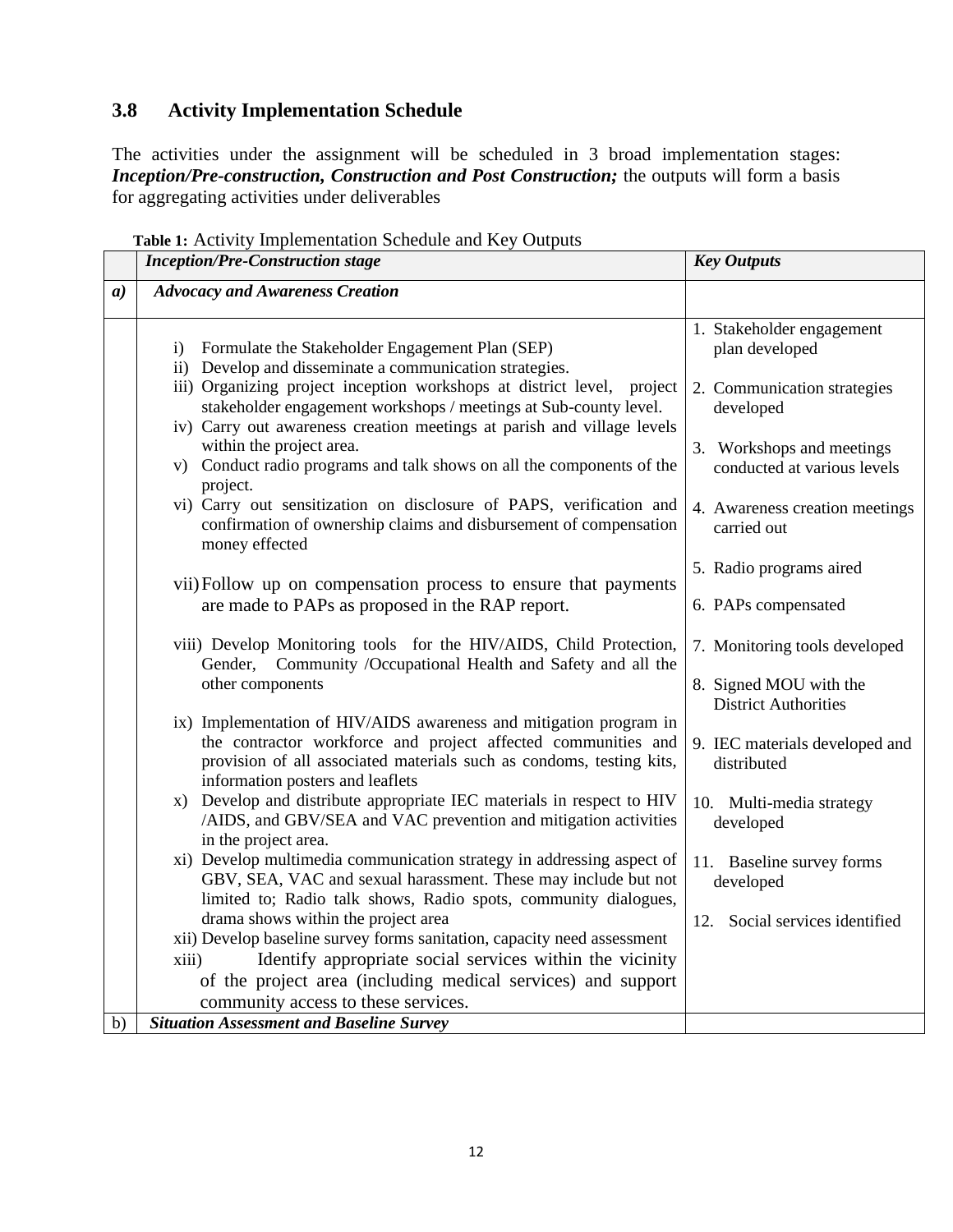## <span id="page-14-0"></span>**3.8 Activity Implementation Schedule**

The activities under the assignment will be scheduled in 3 broad implementation stages: *Inception/Pre-construction, Construction and Post Construction;* the outputs will form a basis for aggregating activities under deliverables

<span id="page-14-1"></span>

|                  | <b>Inception/Pre-Construction stage</b>                                                                                                                                                                                                         | <b>Key Outputs</b>                                       |
|------------------|-------------------------------------------------------------------------------------------------------------------------------------------------------------------------------------------------------------------------------------------------|----------------------------------------------------------|
| $\boldsymbol{a}$ | <b>Advocacy and Awareness Creation</b>                                                                                                                                                                                                          |                                                          |
|                  | Formulate the Stakeholder Engagement Plan (SEP)<br>i)<br>ii) Develop and disseminate a communication strategies.                                                                                                                                | 1. Stakeholder engagement<br>plan developed              |
|                  | iii) Organizing project inception workshops at district level, project<br>stakeholder engagement workshops / meetings at Sub-county level.<br>iv) Carry out awareness creation meetings at parish and village levels                            | 2. Communication strategies<br>developed                 |
|                  | within the project area.<br>v) Conduct radio programs and talk shows on all the components of the<br>project.                                                                                                                                   | 3. Workshops and meetings<br>conducted at various levels |
|                  | vi) Carry out sensitization on disclosure of PAPS, verification and<br>confirmation of ownership claims and disbursement of compensation<br>money effected                                                                                      | 4. Awareness creation meetings<br>carried out            |
|                  |                                                                                                                                                                                                                                                 | 5. Radio programs aired                                  |
|                  | vii) Follow up on compensation process to ensure that payments<br>are made to PAPs as proposed in the RAP report.                                                                                                                               | 6. PAPs compensated                                      |
|                  | viii) Develop Monitoring tools for the HIV/AIDS, Child Protection,<br>Gender, Community /Occupational Health and Safety and all the                                                                                                             | 7. Monitoring tools developed                            |
|                  | other components                                                                                                                                                                                                                                | 8. Signed MOU with the<br><b>District Authorities</b>    |
|                  | ix) Implementation of HIV/AIDS awareness and mitigation program in<br>the contractor workforce and project affected communities and<br>provision of all associated materials such as condoms, testing kits,<br>information posters and leaflets | 9. IEC materials developed and<br>distributed            |
|                  | Develop and distribute appropriate IEC materials in respect to HIV<br>X)<br>/AIDS, and GBV/SEA and VAC prevention and mitigation activities<br>in the project area.                                                                             | 10. Multi-media strategy<br>developed                    |
|                  | xi) Develop multimedia communication strategy in addressing aspect of<br>GBV, SEA, VAC and sexual harassment. These may include but not<br>limited to; Radio talk shows, Radio spots, community dialogues,                                      | 11. Baseline survey forms<br>developed                   |
|                  | drama shows within the project area                                                                                                                                                                                                             | Social services identified<br>12.                        |
|                  | xii) Develop baseline survey forms sanitation, capacity need assessment<br>Identify appropriate social services within the vicinity<br>xiii)                                                                                                    |                                                          |
|                  | of the project area (including medical services) and support                                                                                                                                                                                    |                                                          |
|                  | community access to these services.                                                                                                                                                                                                             |                                                          |
| b)               | <b>Situation Assessment and Baseline Survey</b>                                                                                                                                                                                                 |                                                          |

**Table 1:** Activity Implementation Schedule and Key Outputs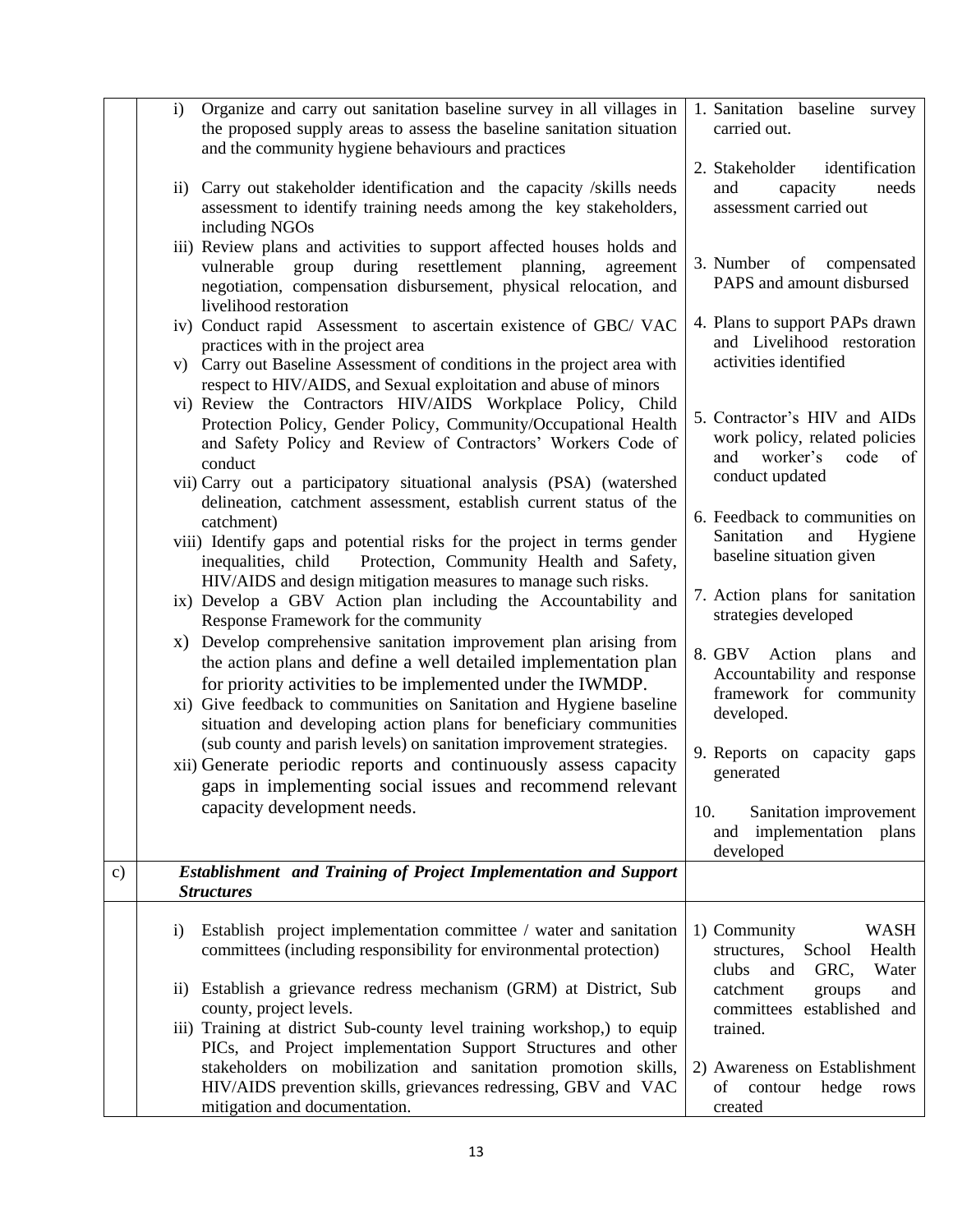|               | Organize and carry out sanitation baseline survey in all villages in<br>$\mathbf{i}$<br>the proposed supply areas to assess the baseline sanitation situation<br>and the community hygiene behaviours and practices                                                                                                                            | 1. Sanitation baseline survey<br>carried out.                                                                  |
|---------------|------------------------------------------------------------------------------------------------------------------------------------------------------------------------------------------------------------------------------------------------------------------------------------------------------------------------------------------------|----------------------------------------------------------------------------------------------------------------|
|               | Carry out stakeholder identification and the capacity /skills needs<br>$\rm ii)$<br>assessment to identify training needs among the key stakeholders,<br>including NGOs                                                                                                                                                                        | 2. Stakeholder<br>identification<br>and<br>capacity<br>needs<br>assessment carried out                         |
|               | iii) Review plans and activities to support affected houses holds and<br>during resettlement planning,<br>group<br>vulnerable<br>agreement<br>negotiation, compensation disbursement, physical relocation, and<br>livelihood restoration                                                                                                       | 3. Number<br><sub>of</sub><br>compensated<br>PAPS and amount disbursed                                         |
|               | iv) Conduct rapid Assessment to ascertain existence of GBC/ VAC<br>practices with in the project area<br>v) Carry out Baseline Assessment of conditions in the project area with<br>respect to HIV/AIDS, and Sexual exploitation and abuse of minors                                                                                           | 4. Plans to support PAPs drawn<br>and Livelihood restoration<br>activities identified                          |
|               | vi) Review the Contractors HIV/AIDS Workplace Policy, Child<br>Protection Policy, Gender Policy, Community/Occupational Health<br>and Safety Policy and Review of Contractors' Workers Code of<br>conduct<br>vii) Carry out a participatory situational analysis (PSA) (watershed                                                              | 5. Contractor's HIV and AIDs<br>work policy, related policies<br>and worker's<br>code<br>of<br>conduct updated |
|               | delineation, catchment assessment, establish current status of the<br>catchment)<br>viii) Identify gaps and potential risks for the project in terms gender<br>Protection, Community Health and Safety,<br>inequalities, child                                                                                                                 | 6. Feedback to communities on<br>Sanitation<br>and<br>Hygiene<br>baseline situation given                      |
|               | HIV/AIDS and design mitigation measures to manage such risks.<br>ix) Develop a GBV Action plan including the Accountability and<br>Response Framework for the community                                                                                                                                                                        | 7. Action plans for sanitation<br>strategies developed                                                         |
|               | x) Develop comprehensive sanitation improvement plan arising from<br>the action plans and define a well detailed implementation plan<br>for priority activities to be implemented under the IWMDP.<br>xi) Give feedback to communities on Sanitation and Hygiene baseline<br>situation and developing action plans for beneficiary communities | 8. GBV Action plans<br>and<br>Accountability and response<br>framework for community<br>developed.             |
|               | (sub county and parish levels) on sanitation improvement strategies.<br>xii) Generate periodic reports and continuously assess capacity<br>gaps in implementing social issues and recommend relevant                                                                                                                                           | 9. Reports on capacity gaps<br>generated                                                                       |
|               | capacity development needs.                                                                                                                                                                                                                                                                                                                    | 10.<br>Sanitation improvement<br>implementation plans<br>and<br>developed                                      |
| $\mathbf{c})$ | <b>Establishment</b> and Training of Project Implementation and Support<br><i>Structures</i>                                                                                                                                                                                                                                                   |                                                                                                                |
|               | Establish project implementation committee / water and sanitation<br>$\mathbf{i}$<br>committees (including responsibility for environmental protection)                                                                                                                                                                                        | 1) Community<br><b>WASH</b><br>School<br>Health<br>structures,<br>clubs<br>GRC,<br>Water<br>and                |
|               | Establish a grievance redress mechanism (GRM) at District, Sub<br>11)<br>county, project levels.<br>iii) Training at district Sub-county level training workshop,) to equip                                                                                                                                                                    | catchment<br>groups<br>and<br>committees<br>established and<br>trained.                                        |
|               | PICs, and Project implementation Support Structures and other<br>stakeholders on mobilization and sanitation promotion skills,<br>HIV/AIDS prevention skills, grievances redressing, GBV and VAC<br>mitigation and documentation.                                                                                                              | 2) Awareness on Establishment<br>hedge<br>of contour<br>rows<br>created                                        |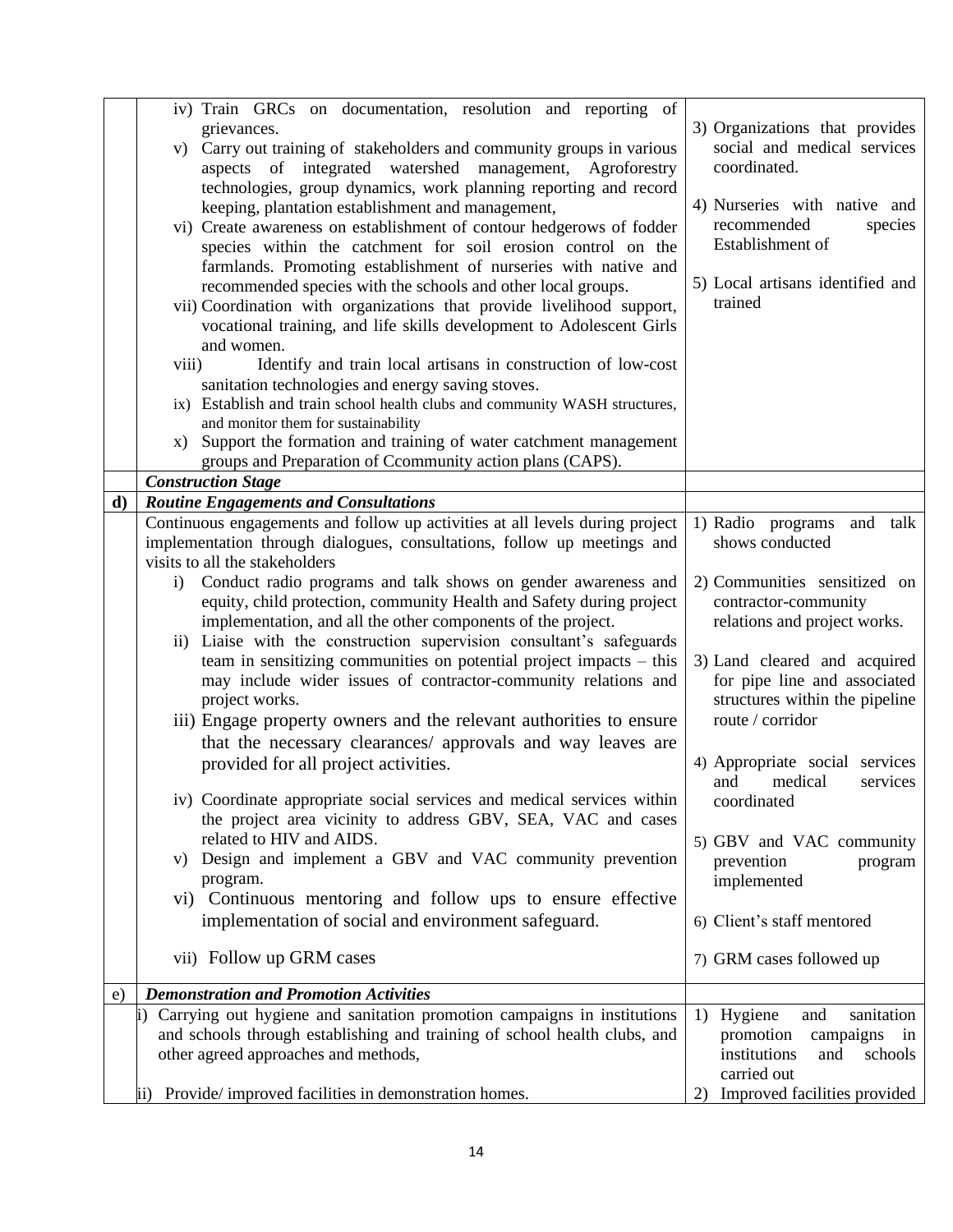|              | iv) Train GRCs on documentation, resolution and reporting of                  |                                    |
|--------------|-------------------------------------------------------------------------------|------------------------------------|
|              | grievances.                                                                   | 3) Organizations that provides     |
|              |                                                                               | social and medical services        |
|              | v) Carry out training of stakeholders and community groups in various         | coordinated.                       |
|              | integrated watershed management,<br>aspects of<br>Agroforestry                |                                    |
|              | technologies, group dynamics, work planning reporting and record              | 4) Nurseries with native and       |
|              | keeping, plantation establishment and management,                             |                                    |
|              | vi) Create awareness on establishment of contour hedgerows of fodder          | recommended<br>species             |
|              | species within the catchment for soil erosion control on the                  | Establishment of                   |
|              | farmlands. Promoting establishment of nurseries with native and               |                                    |
|              | recommended species with the schools and other local groups.                  | 5) Local artisans identified and   |
|              | vii) Coordination with organizations that provide livelihood support,         | trained                            |
|              | vocational training, and life skills development to Adolescent Girls          |                                    |
|              | and women.                                                                    |                                    |
|              | viii)<br>Identify and train local artisans in construction of low-cost        |                                    |
|              | sanitation technologies and energy saving stoves.                             |                                    |
|              | ix) Establish and train school health clubs and community WASH structures,    |                                    |
|              | and monitor them for sustainability                                           |                                    |
|              | Support the formation and training of water catchment management<br>X)        |                                    |
|              | groups and Preparation of Ccommunity action plans (CAPS).                     |                                    |
|              | <b>Construction Stage</b>                                                     |                                    |
| $\mathbf{d}$ | <b>Routine Engagements and Consultations</b>                                  |                                    |
|              | Continuous engagements and follow up activities at all levels during project  | 1) Radio programs<br>and<br>talk   |
|              | implementation through dialogues, consultations, follow up meetings and       | shows conducted                    |
|              | visits to all the stakeholders                                                |                                    |
|              | Conduct radio programs and talk shows on gender awareness and<br>$\mathbf{i}$ | 2) Communities sensitized on       |
|              | equity, child protection, community Health and Safety during project          | contractor-community               |
|              | implementation, and all the other components of the project.                  | relations and project works.       |
|              | ii) Liaise with the construction supervision consultant's safeguards          |                                    |
|              | team in sensitizing communities on potential project impacts $-$ this         | 3) Land cleared and acquired       |
|              | may include wider issues of contractor-community relations and                | for pipe line and associated       |
|              | project works.                                                                | structures within the pipeline     |
|              | iii) Engage property owners and the relevant authorities to ensure            | route / corridor                   |
|              | that the necessary clearances/ approvals and way leaves are                   |                                    |
|              | provided for all project activities.                                          | 4) Appropriate social services     |
|              |                                                                               | medical<br>and<br>services         |
|              | iv) Coordinate appropriate social services and medical services within        | coordinated                        |
|              | the project area vicinity to address GBV, SEA, VAC and cases                  |                                    |
|              | related to HIV and AIDS.                                                      | 5) GBV and VAC community           |
|              | v) Design and implement a GBV and VAC community prevention                    | prevention<br>program              |
|              | program.                                                                      | implemented                        |
|              | vi) Continuous mentoring and follow ups to ensure effective                   |                                    |
|              | implementation of social and environment safeguard.                           | 6) Client's staff mentored         |
|              |                                                                               |                                    |
|              | vii) Follow up GRM cases                                                      | 7) GRM cases followed up           |
| e)           | <b>Demonstration and Promotion Activities</b>                                 |                                    |
|              | i) Carrying out hygiene and sanitation promotion campaigns in institutions    | 1) Hygiene<br>and<br>sanitation    |
|              | and schools through establishing and training of school health clubs, and     | promotion<br>campaigns in          |
|              | other agreed approaches and methods,                                          | institutions<br>schools<br>and     |
|              |                                                                               | carried out                        |
|              | Provide/improved facilities in demonstration homes.<br>$\mathbf{ii}$          | Improved facilities provided<br>2) |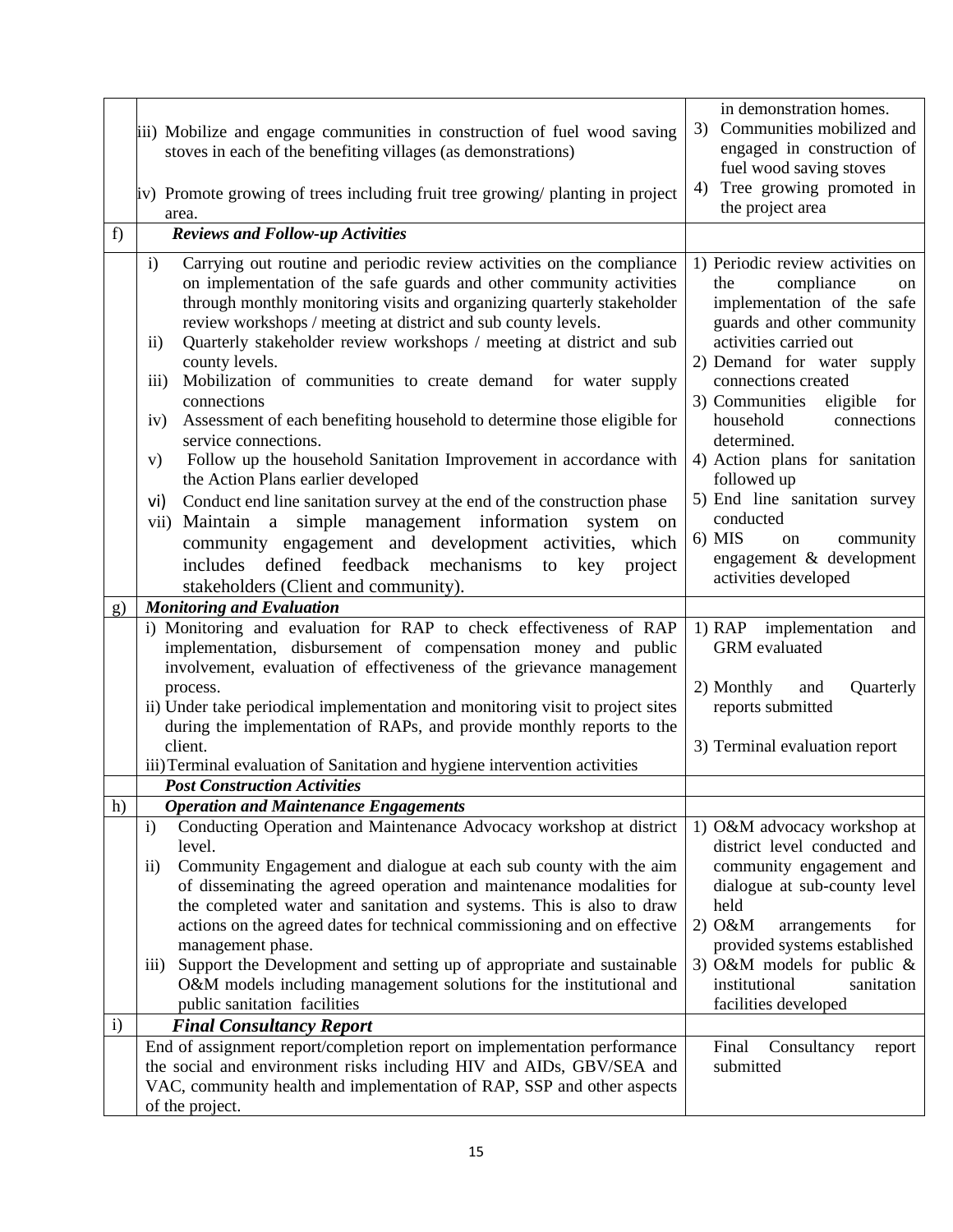|          | iii) Mobilize and engage communities in construction of fuel wood saving<br>stoves in each of the benefiting villages (as demonstrations)<br>iv) Promote growing of trees including fruit tree growing/ planting in project<br>area.                                                                                                                                                                                                                                                                                                                                                                                                                                                                                                                                                                                                                                                                                                                                                                                                                      | in demonstration homes.<br>Communities mobilized and<br>3)<br>engaged in construction of<br>fuel wood saving stoves<br>Tree growing promoted in<br>4)<br>the project area                                                                                                                                                                                                                                                                                                |
|----------|-----------------------------------------------------------------------------------------------------------------------------------------------------------------------------------------------------------------------------------------------------------------------------------------------------------------------------------------------------------------------------------------------------------------------------------------------------------------------------------------------------------------------------------------------------------------------------------------------------------------------------------------------------------------------------------------------------------------------------------------------------------------------------------------------------------------------------------------------------------------------------------------------------------------------------------------------------------------------------------------------------------------------------------------------------------|--------------------------------------------------------------------------------------------------------------------------------------------------------------------------------------------------------------------------------------------------------------------------------------------------------------------------------------------------------------------------------------------------------------------------------------------------------------------------|
| f)       | <b>Reviews and Follow-up Activities</b>                                                                                                                                                                                                                                                                                                                                                                                                                                                                                                                                                                                                                                                                                                                                                                                                                                                                                                                                                                                                                   |                                                                                                                                                                                                                                                                                                                                                                                                                                                                          |
|          | Carrying out routine and periodic review activities on the compliance<br>$\mathbf{i}$<br>on implementation of the safe guards and other community activities<br>through monthly monitoring visits and organizing quarterly stakeholder<br>review workshops / meeting at district and sub county levels.<br>Quarterly stakeholder review workshops / meeting at district and sub<br>$\rm ii)$<br>county levels.<br>Mobilization of communities to create demand for water supply<br>iii)<br>connections<br>Assessment of each benefiting household to determine those eligible for<br>iv)<br>service connections.<br>Follow up the household Sanitation Improvement in accordance with<br>V)<br>the Action Plans earlier developed<br>Conduct end line sanitation survey at the end of the construction phase<br>vi)<br>Maintain a simple management information<br>system on<br>vii)<br>community engagement and development activities, which<br>defined feedback mechanisms<br>includes<br>project<br>key<br>to<br>stakeholders (Client and community). | 1) Periodic review activities on<br>compliance<br>the<br>on<br>implementation of the safe<br>guards and other community<br>activities carried out<br>2) Demand for water supply<br>connections created<br>3) Communities<br>eligible<br>for<br>household<br>connections<br>determined.<br>4) Action plans for sanitation<br>followed up<br>5) End line sanitation survey<br>conducted<br>$6)$ MIS<br>community<br>on<br>engagement & development<br>activities developed |
| g)       | <b>Monitoring and Evaluation</b>                                                                                                                                                                                                                                                                                                                                                                                                                                                                                                                                                                                                                                                                                                                                                                                                                                                                                                                                                                                                                          |                                                                                                                                                                                                                                                                                                                                                                                                                                                                          |
|          | i) Monitoring and evaluation for RAP to check effectiveness of RAP<br>implementation, disbursement of compensation money and public<br>involvement, evaluation of effectiveness of the grievance management<br>process.<br>ii) Under take periodical implementation and monitoring visit to project sites<br>during the implementation of RAPs, and provide monthly reports to the<br>client.<br>iii) Terminal evaluation of Sanitation and hygiene intervention activities                                                                                                                                                                                                                                                                                                                                                                                                                                                                                                                                                                               | 1) RAP implementation<br>and<br>GRM evaluated<br>2) Monthly<br>Quarterly<br>and<br>reports submitted<br>3) Terminal evaluation report                                                                                                                                                                                                                                                                                                                                    |
|          | <b>Post Construction Activities</b>                                                                                                                                                                                                                                                                                                                                                                                                                                                                                                                                                                                                                                                                                                                                                                                                                                                                                                                                                                                                                       |                                                                                                                                                                                                                                                                                                                                                                                                                                                                          |
| h)<br>i) | <b>Operation and Maintenance Engagements</b><br>Conducting Operation and Maintenance Advocacy workshop at district<br>$\mathbf{i}$<br>level.<br>Community Engagement and dialogue at each sub county with the aim<br>$\rm ii)$<br>of disseminating the agreed operation and maintenance modalities for<br>the completed water and sanitation and systems. This is also to draw<br>actions on the agreed dates for technical commissioning and on effective<br>management phase.<br>Support the Development and setting up of appropriate and sustainable<br>$\overline{111}$<br>O&M models including management solutions for the institutional and<br>public sanitation facilities<br><b>Final Consultancy Report</b>                                                                                                                                                                                                                                                                                                                                    | 1) O&M advocacy workshop at<br>district level conducted and<br>community engagement and<br>dialogue at sub-county level<br>held<br>$2)$ O&M<br>arrangements<br>for<br>provided systems established<br>3) O&M models for public $\&$<br>institutional<br>sanitation<br>facilities developed                                                                                                                                                                               |
|          | End of assignment report/completion report on implementation performance<br>the social and environment risks including HIV and AIDs, GBV/SEA and<br>VAC, community health and implementation of RAP, SSP and other aspects<br>of the project.                                                                                                                                                                                                                                                                                                                                                                                                                                                                                                                                                                                                                                                                                                                                                                                                             | Final<br>Consultancy<br>report<br>submitted                                                                                                                                                                                                                                                                                                                                                                                                                              |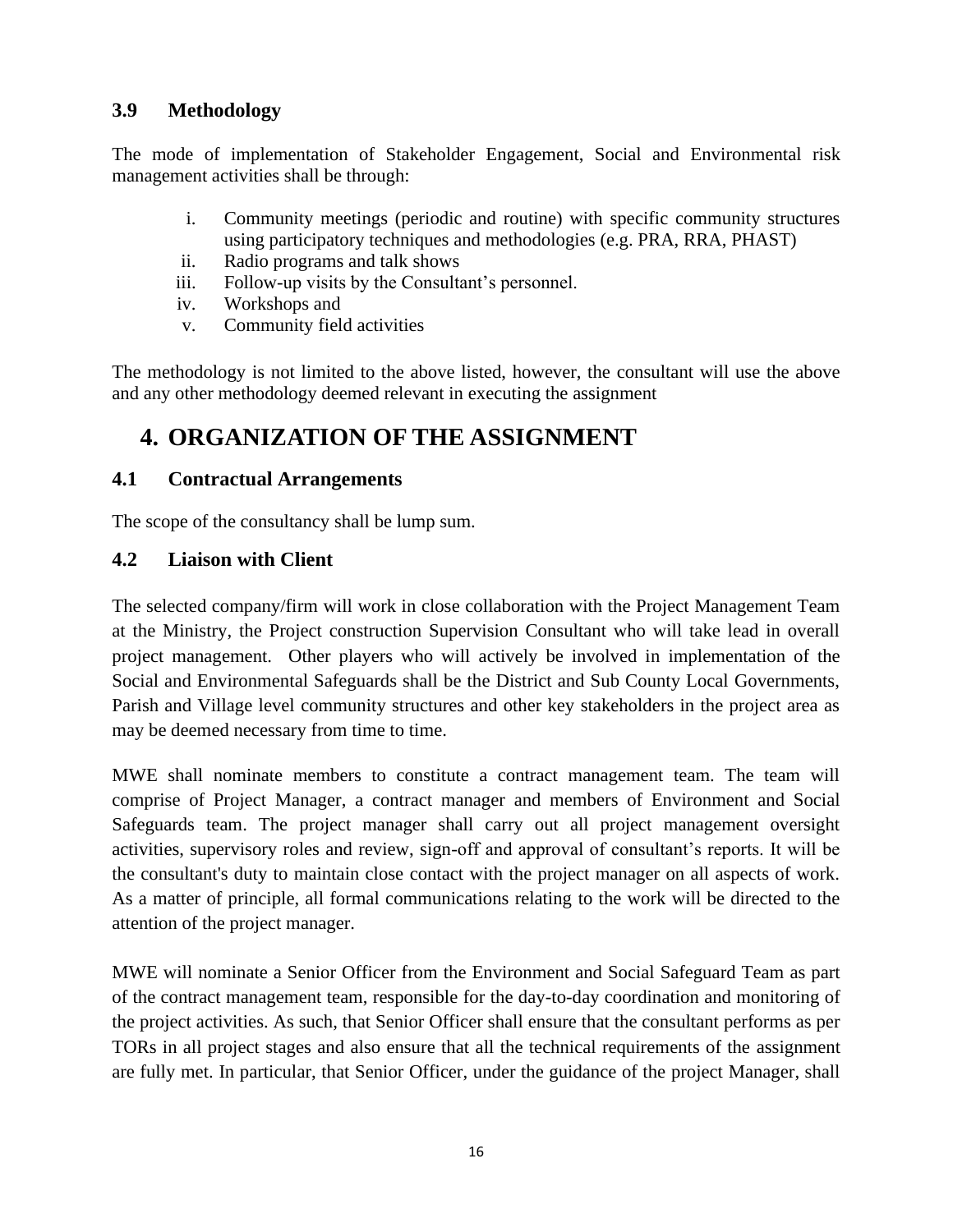## <span id="page-18-0"></span>**3.9 Methodology**

The mode of implementation of Stakeholder Engagement, Social and Environmental risk management activities shall be through:

- i. Community meetings (periodic and routine) with specific community structures using participatory techniques and methodologies (e.g. PRA, RRA, PHAST)
- ii. Radio programs and talk shows
- iii. Follow-up visits by the Consultant's personnel.
- iv. Workshops and
- v. Community field activities

The methodology is not limited to the above listed, however, the consultant will use the above and any other methodology deemed relevant in executing the assignment

# <span id="page-18-1"></span>**4. ORGANIZATION OF THE ASSIGNMENT**

### <span id="page-18-2"></span>**4.1 Contractual Arrangements**

The scope of the consultancy shall be lump sum.

### <span id="page-18-3"></span>**4.2 Liaison with Client**

The selected company/firm will work in close collaboration with the Project Management Team at the Ministry, the Project construction Supervision Consultant who will take lead in overall project management. Other players who will actively be involved in implementation of the Social and Environmental Safeguards shall be the District and Sub County Local Governments, Parish and Village level community structures and other key stakeholders in the project area as may be deemed necessary from time to time.

MWE shall nominate members to constitute a contract management team. The team will comprise of Project Manager, a contract manager and members of Environment and Social Safeguards team. The project manager shall carry out all project management oversight activities, supervisory roles and review, sign-off and approval of consultant's reports. It will be the consultant's duty to maintain close contact with the project manager on all aspects of work. As a matter of principle, all formal communications relating to the work will be directed to the attention of the project manager.

MWE will nominate a Senior Officer from the Environment and Social Safeguard Team as part of the contract management team, responsible for the day-to-day coordination and monitoring of the project activities. As such, that Senior Officer shall ensure that the consultant performs as per TORs in all project stages and also ensure that all the technical requirements of the assignment are fully met. In particular, that Senior Officer, under the guidance of the project Manager, shall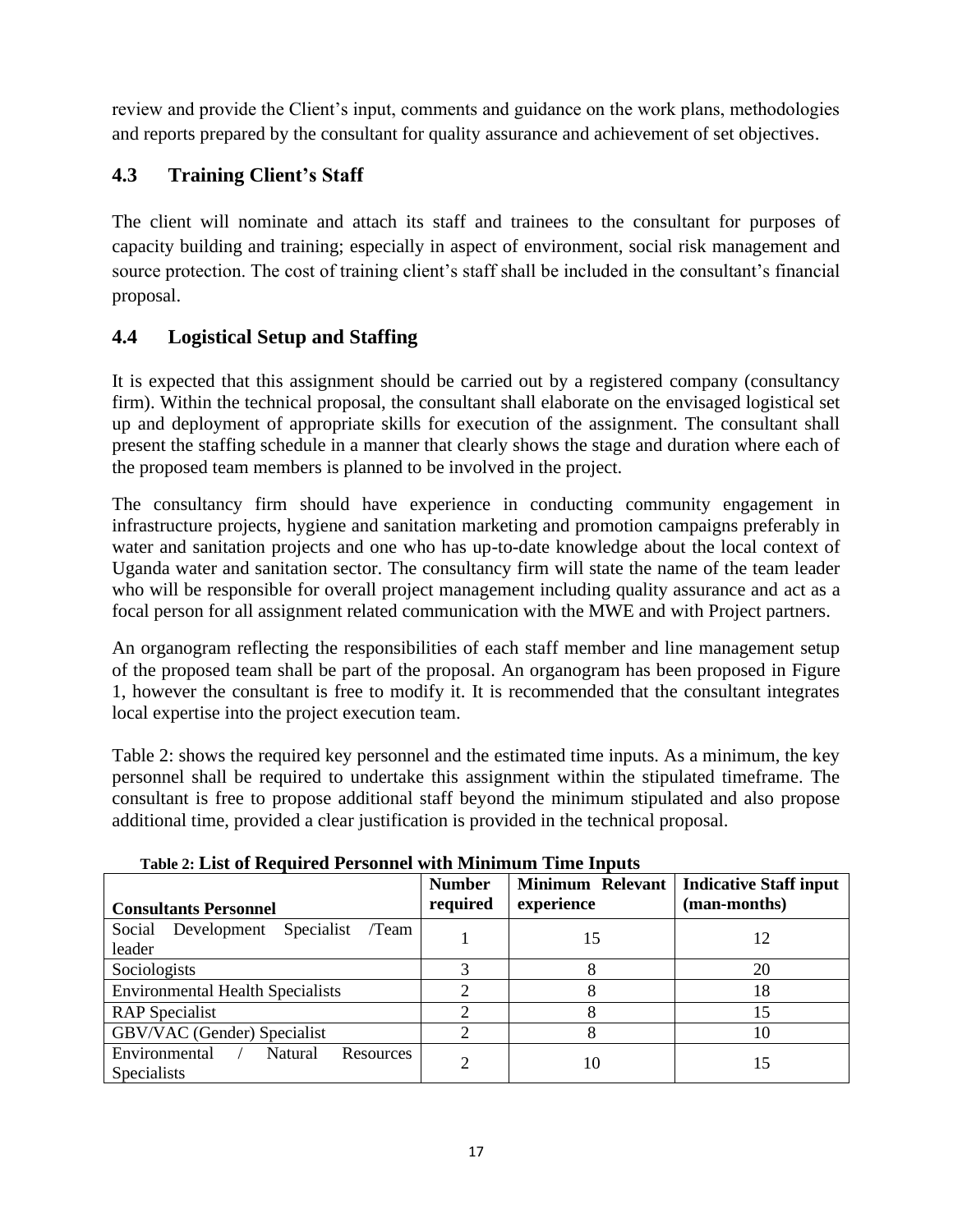review and provide the Client's input, comments and guidance on the work plans, methodologies and reports prepared by the consultant for quality assurance and achievement of set objectives.

## <span id="page-19-0"></span>**4.3 Training Client's Staff**

The client will nominate and attach its staff and trainees to the consultant for purposes of capacity building and training; especially in aspect of environment, social risk management and source protection. The cost of training client's staff shall be included in the consultant's financial proposal.

## <span id="page-19-1"></span>**4.4 Logistical Setup and Staffing**

It is expected that this assignment should be carried out by a registered company (consultancy firm). Within the technical proposal, the consultant shall elaborate on the envisaged logistical set up and deployment of appropriate skills for execution of the assignment. The consultant shall present the staffing schedule in a manner that clearly shows the stage and duration where each of the proposed team members is planned to be involved in the project.

The consultancy firm should have experience in conducting community engagement in infrastructure projects, hygiene and sanitation marketing and promotion campaigns preferably in water and sanitation projects and one who has up-to-date knowledge about the local context of Uganda water and sanitation sector. The consultancy firm will state the name of the team leader who will be responsible for overall project management including quality assurance and act as a focal person for all assignment related communication with the MWE and with Project partners.

An organogram reflecting the responsibilities of each staff member and line management setup of the proposed team shall be part of the proposal. An organogram has been proposed in Figure 1, however the consultant is free to modify it. It is recommended that the consultant integrates local expertise into the project execution team.

Table 2: shows the required key personnel and the estimated time inputs. As a minimum, the key personnel shall be required to undertake this assignment within the stipulated timeframe. The consultant is free to propose additional staff beyond the minimum stipulated and also propose additional time, provided a clear justification is provided in the technical proposal.

<span id="page-19-2"></span>

| <b>Consultants Personnel</b>                                       | <b>Number</b><br>required | experience | Minimum Relevant   Indicative Staff input<br>(man-months) |
|--------------------------------------------------------------------|---------------------------|------------|-----------------------------------------------------------|
| Social Development Specialist<br>/Team<br>leader                   |                           | 15         | 12                                                        |
| Sociologists                                                       |                           |            | 20                                                        |
| <b>Environmental Health Specialists</b>                            |                           |            | 18                                                        |
| <b>RAP</b> Specialist                                              |                           |            | 15                                                        |
| GBV/VAC (Gender) Specialist                                        |                           |            | 10                                                        |
| Environmental<br>Natural<br><b>Resources</b><br><b>Specialists</b> | ∍                         | 10         | 15                                                        |

**Table 2: List of Required Personnel with Minimum Time Inputs**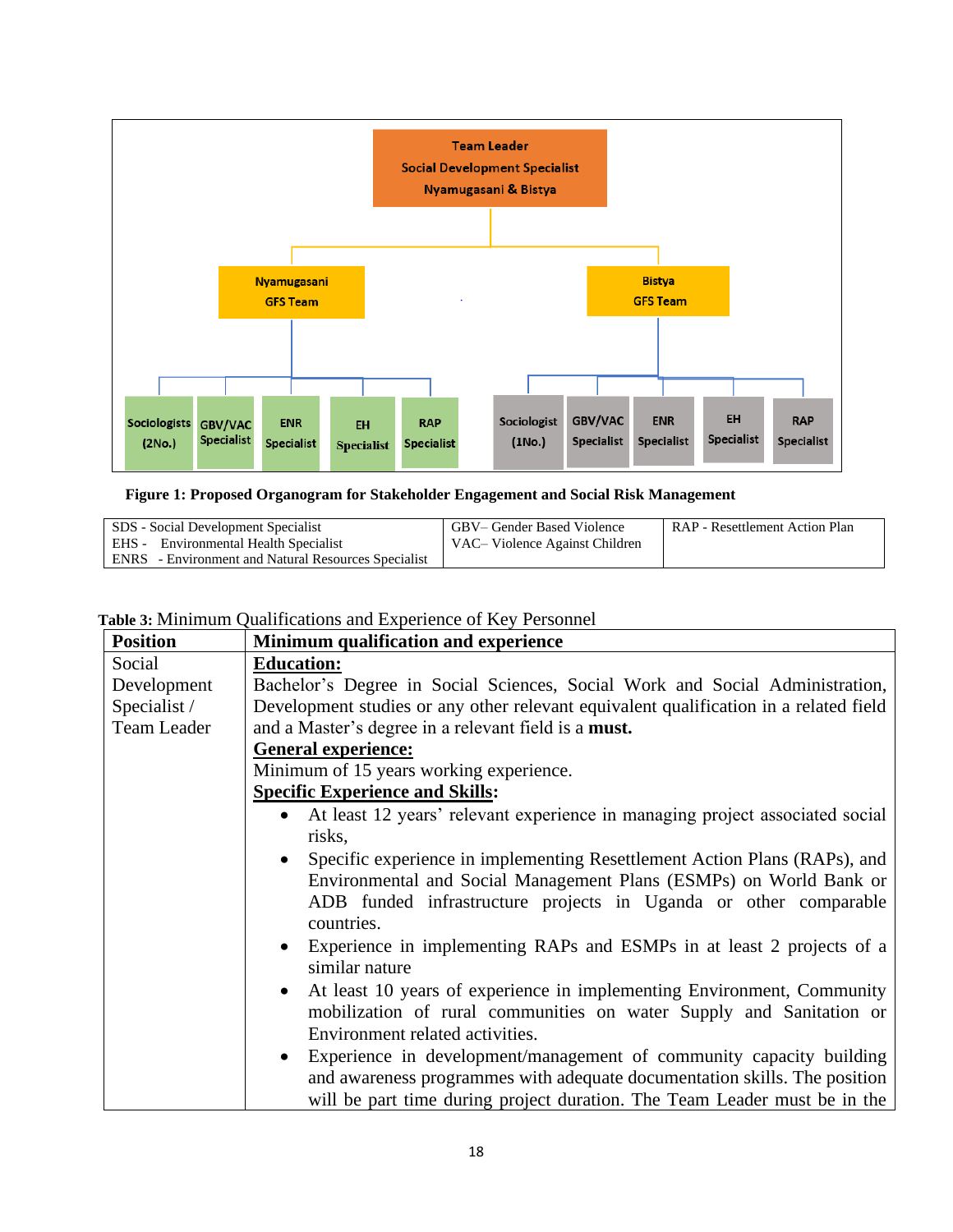

**Figure 1: Proposed Organogram for Stakeholder Engagement and Social Risk Management**

| SDS - Social Development Specialist                        | GBV– Gender Based Violence      | RAP - Resettlement Action Plan |
|------------------------------------------------------------|---------------------------------|--------------------------------|
| <b>EHS</b> - Environmental Health Specialist               | VAC – Violence Against Children |                                |
| <b>ENRS</b> - Environment and Natural Resources Specialist |                                 |                                |

## <span id="page-20-0"></span>**Table 3:** Minimum Qualifications and Experience of Key Personnel

| <b>Position</b> | Minimum qualification and experience                                                      |  |  |
|-----------------|-------------------------------------------------------------------------------------------|--|--|
| Social          | <b>Education:</b>                                                                         |  |  |
| Development     | Bachelor's Degree in Social Sciences, Social Work and Social Administration,              |  |  |
| Specialist /    | Development studies or any other relevant equivalent qualification in a related field     |  |  |
| Team Leader     | and a Master's degree in a relevant field is a must.                                      |  |  |
|                 | <b>General experience:</b>                                                                |  |  |
|                 | Minimum of 15 years working experience.                                                   |  |  |
|                 | <b>Specific Experience and Skills:</b>                                                    |  |  |
|                 | At least 12 years' relevant experience in managing project associated social<br>$\bullet$ |  |  |
|                 | risks,                                                                                    |  |  |
|                 | Specific experience in implementing Resettlement Action Plans (RAPs), and                 |  |  |
|                 | Environmental and Social Management Plans (ESMPs) on World Bank or                        |  |  |
|                 | ADB funded infrastructure projects in Uganda or other comparable                          |  |  |
|                 | countries.                                                                                |  |  |
|                 | • Experience in implementing RAPs and ESMPs in at least 2 projects of a<br>similar nature |  |  |
|                 | • At least 10 years of experience in implementing Environment, Community                  |  |  |
|                 | mobilization of rural communities on water Supply and Sanitation or                       |  |  |
|                 | Environment related activities.                                                           |  |  |
|                 | • Experience in development/management of community capacity building                     |  |  |
|                 | and awareness programmes with adequate documentation skills. The position                 |  |  |
|                 | will be part time during project duration. The Team Leader must be in the                 |  |  |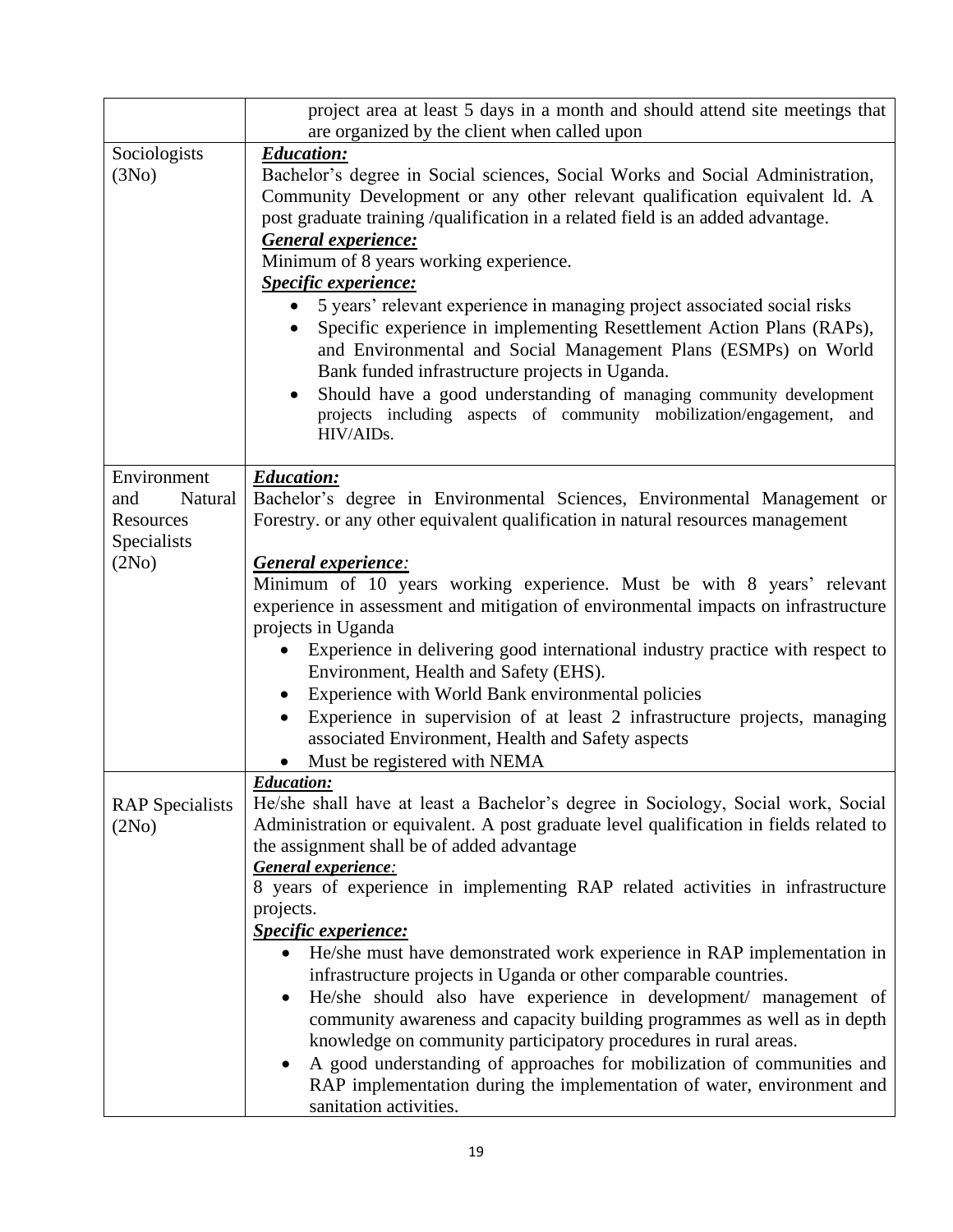|                                                   | project area at least 5 days in a month and should attend site meetings that                                                                                                                                                                                                                                                                                                                                                                                                        |
|---------------------------------------------------|-------------------------------------------------------------------------------------------------------------------------------------------------------------------------------------------------------------------------------------------------------------------------------------------------------------------------------------------------------------------------------------------------------------------------------------------------------------------------------------|
|                                                   | are organized by the client when called upon                                                                                                                                                                                                                                                                                                                                                                                                                                        |
| Sociologists<br>(3No)                             | <b>Education:</b><br>Bachelor's degree in Social sciences, Social Works and Social Administration,<br>Community Development or any other relevant qualification equivalent ld. A<br>post graduate training /qualification in a related field is an added advantage.<br><b>General experience:</b><br>Minimum of 8 years working experience.<br>Specific experience:                                                                                                                 |
|                                                   | 5 years' relevant experience in managing project associated social risks<br>Specific experience in implementing Resettlement Action Plans (RAPs),<br>and Environmental and Social Management Plans (ESMPs) on World<br>Bank funded infrastructure projects in Uganda.<br>Should have a good understanding of managing community development<br>projects including aspects of community mobilization/engagement, and<br>HIV/AIDs.                                                    |
| Environment                                       | <b>Education:</b>                                                                                                                                                                                                                                                                                                                                                                                                                                                                   |
| Natural<br>and<br><b>Resources</b><br>Specialists | Bachelor's degree in Environmental Sciences, Environmental Management or<br>Forestry. or any other equivalent qualification in natural resources management                                                                                                                                                                                                                                                                                                                         |
| (2No)                                             | General experience:                                                                                                                                                                                                                                                                                                                                                                                                                                                                 |
|                                                   | Minimum of 10 years working experience. Must be with 8 years' relevant<br>experience in assessment and mitigation of environmental impacts on infrastructure<br>projects in Uganda                                                                                                                                                                                                                                                                                                  |
|                                                   | Experience in delivering good international industry practice with respect to<br>$\bullet$<br>Environment, Health and Safety (EHS).                                                                                                                                                                                                                                                                                                                                                 |
|                                                   | Experience with World Bank environmental policies<br>Experience in supervision of at least 2 infrastructure projects, managing<br>$\bullet$<br>associated Environment, Health and Safety aspects<br>Must be registered with NEMA                                                                                                                                                                                                                                                    |
|                                                   | <b>Education:</b>                                                                                                                                                                                                                                                                                                                                                                                                                                                                   |
| <b>RAP</b> Specialists<br>(2No)                   | He/she shall have at least a Bachelor's degree in Sociology, Social work, Social<br>Administration or equivalent. A post graduate level qualification in fields related to<br>the assignment shall be of added advantage<br>General experience:                                                                                                                                                                                                                                     |
|                                                   | 8 years of experience in implementing RAP related activities in infrastructure<br>projects.                                                                                                                                                                                                                                                                                                                                                                                         |
|                                                   | <b>Specific experience:</b><br>He/she must have demonstrated work experience in RAP implementation in<br>infrastructure projects in Uganda or other comparable countries.<br>He/she should also have experience in development/ management of<br>$\bullet$<br>community awareness and capacity building programmes as well as in depth<br>knowledge on community participatory procedures in rural areas.<br>A good understanding of approaches for mobilization of communities and |
|                                                   | RAP implementation during the implementation of water, environment and<br>sanitation activities.                                                                                                                                                                                                                                                                                                                                                                                    |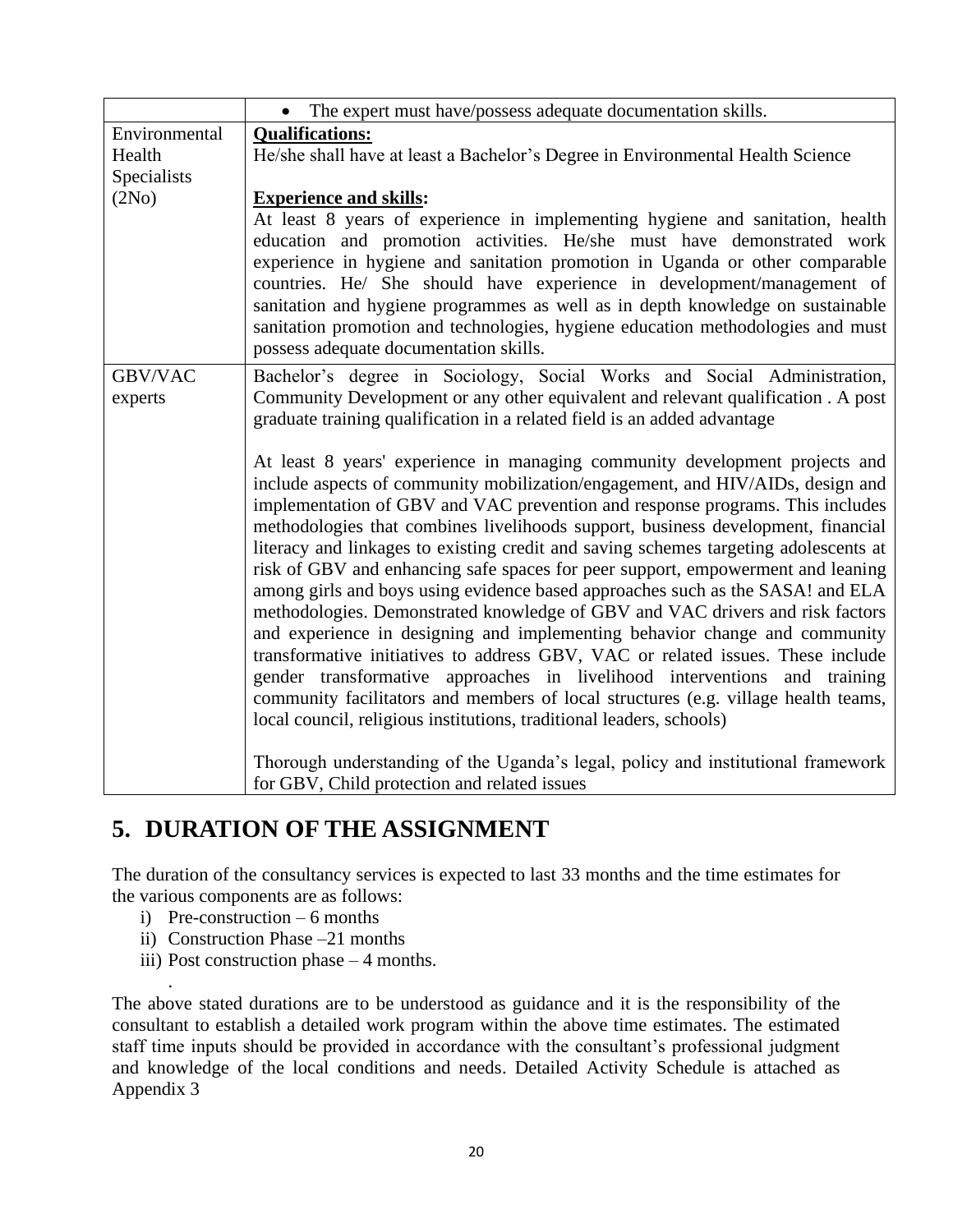|               | • The expert must have/possess adequate documentation skills.                                                                                                                                                                                                                                                                                                                                                                                                                                                                                                                                                                                                                                                                                                                                                                                                                                                                                                                                                                                                                                |  |  |  |
|---------------|----------------------------------------------------------------------------------------------------------------------------------------------------------------------------------------------------------------------------------------------------------------------------------------------------------------------------------------------------------------------------------------------------------------------------------------------------------------------------------------------------------------------------------------------------------------------------------------------------------------------------------------------------------------------------------------------------------------------------------------------------------------------------------------------------------------------------------------------------------------------------------------------------------------------------------------------------------------------------------------------------------------------------------------------------------------------------------------------|--|--|--|
| Environmental | <b>Qualifications:</b>                                                                                                                                                                                                                                                                                                                                                                                                                                                                                                                                                                                                                                                                                                                                                                                                                                                                                                                                                                                                                                                                       |  |  |  |
| Health        | He/she shall have at least a Bachelor's Degree in Environmental Health Science                                                                                                                                                                                                                                                                                                                                                                                                                                                                                                                                                                                                                                                                                                                                                                                                                                                                                                                                                                                                               |  |  |  |
| Specialists   |                                                                                                                                                                                                                                                                                                                                                                                                                                                                                                                                                                                                                                                                                                                                                                                                                                                                                                                                                                                                                                                                                              |  |  |  |
| (2No)         | <b>Experience and skills:</b>                                                                                                                                                                                                                                                                                                                                                                                                                                                                                                                                                                                                                                                                                                                                                                                                                                                                                                                                                                                                                                                                |  |  |  |
|               | At least 8 years of experience in implementing hygiene and sanitation, health<br>education and promotion activities. He/she must have demonstrated work<br>experience in hygiene and sanitation promotion in Uganda or other comparable<br>countries. He/ She should have experience in development/management of<br>sanitation and hygiene programmes as well as in depth knowledge on sustainable<br>sanitation promotion and technologies, hygiene education methodologies and must<br>possess adequate documentation skills.                                                                                                                                                                                                                                                                                                                                                                                                                                                                                                                                                             |  |  |  |
| GBV/VAC       | Bachelor's degree in Sociology, Social Works and Social Administration,                                                                                                                                                                                                                                                                                                                                                                                                                                                                                                                                                                                                                                                                                                                                                                                                                                                                                                                                                                                                                      |  |  |  |
| experts       | Community Development or any other equivalent and relevant qualification. A post<br>graduate training qualification in a related field is an added advantage                                                                                                                                                                                                                                                                                                                                                                                                                                                                                                                                                                                                                                                                                                                                                                                                                                                                                                                                 |  |  |  |
|               | At least 8 years' experience in managing community development projects and<br>include aspects of community mobilization/engagement, and HIV/AIDs, design and<br>implementation of GBV and VAC prevention and response programs. This includes<br>methodologies that combines livelihoods support, business development, financial<br>literacy and linkages to existing credit and saving schemes targeting adolescents at<br>risk of GBV and enhancing safe spaces for peer support, empowerment and leaning<br>among girls and boys using evidence based approaches such as the SASA! and ELA<br>methodologies. Demonstrated knowledge of GBV and VAC drivers and risk factors<br>and experience in designing and implementing behavior change and community<br>transformative initiatives to address GBV, VAC or related issues. These include<br>gender transformative approaches in livelihood interventions and training<br>community facilitators and members of local structures (e.g. village health teams,<br>local council, religious institutions, traditional leaders, schools) |  |  |  |
|               | Thorough understanding of the Uganda's legal, policy and institutional framework<br>for GBV, Child protection and related issues                                                                                                                                                                                                                                                                                                                                                                                                                                                                                                                                                                                                                                                                                                                                                                                                                                                                                                                                                             |  |  |  |

# <span id="page-22-0"></span>**5. DURATION OF THE ASSIGNMENT**

The duration of the consultancy services is expected to last 33 months and the time estimates for the various components are as follows:

i) Pre-construction – 6 months

.

- ii) Construction Phase –21 months
- iii) Post construction phase 4 months.

The above stated durations are to be understood as guidance and it is the responsibility of the consultant to establish a detailed work program within the above time estimates. The estimated staff time inputs should be provided in accordance with the consultant's professional judgment and knowledge of the local conditions and needs. Detailed Activity Schedule is attached as Appendix 3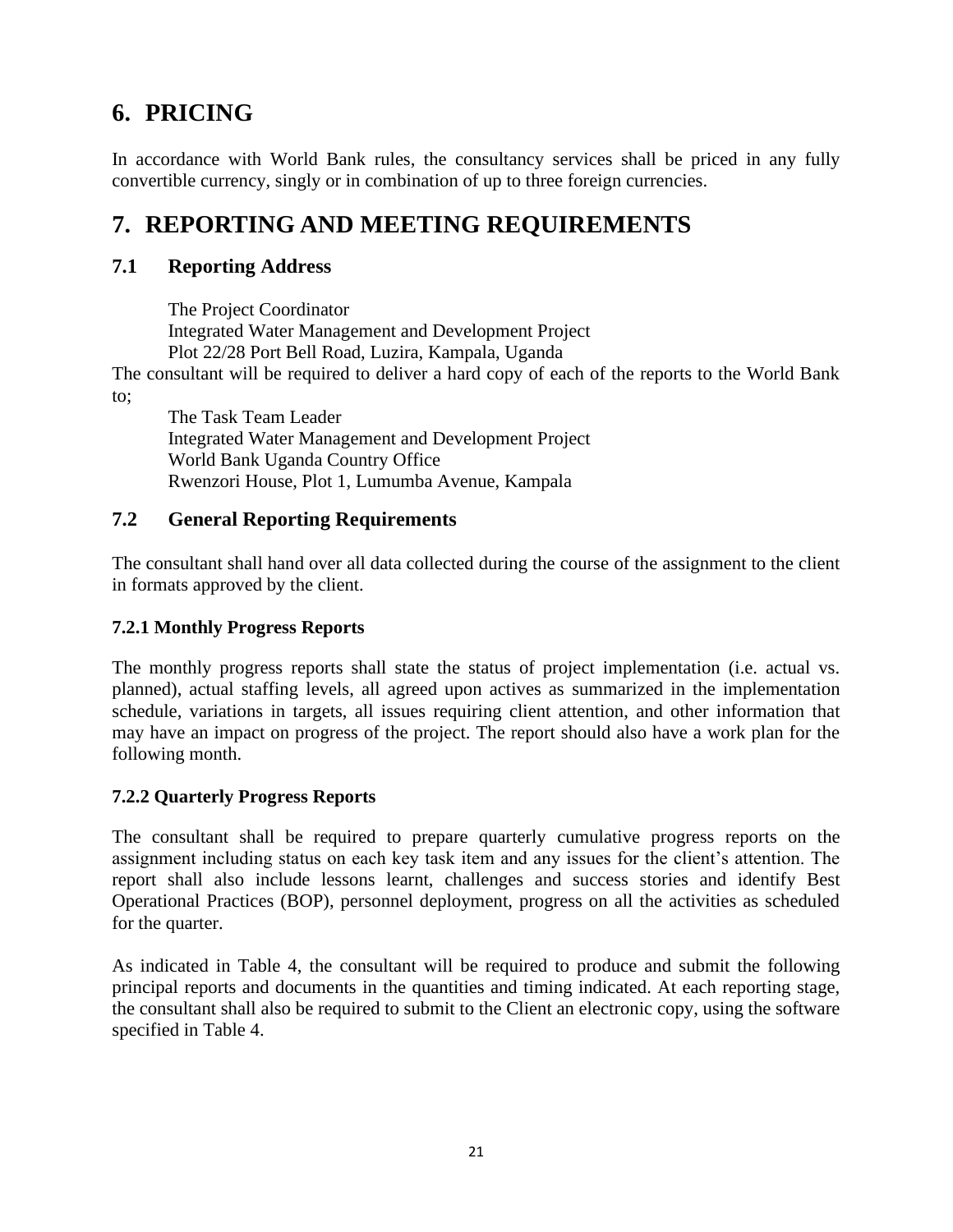# <span id="page-23-0"></span>**6. PRICING**

In accordance with World Bank rules, the consultancy services shall be priced in any fully convertible currency, singly or in combination of up to three foreign currencies.

# <span id="page-23-1"></span>**7. REPORTING AND MEETING REQUIREMENTS**

## <span id="page-23-2"></span>**7.1 Reporting Address**

The Project Coordinator Integrated Water Management and Development Project Plot 22/28 Port Bell Road, Luzira, Kampala, Uganda

The consultant will be required to deliver a hard copy of each of the reports to the World Bank to;

The Task Team Leader Integrated Water Management and Development Project World Bank Uganda Country Office Rwenzori House, Plot 1, Lumumba Avenue, Kampala

## <span id="page-23-3"></span>**7.2 General Reporting Requirements**

The consultant shall hand over all data collected during the course of the assignment to the client in formats approved by the client.

### **7.2.1 Monthly Progress Reports**

The monthly progress reports shall state the status of project implementation (i.e. actual vs. planned), actual staffing levels, all agreed upon actives as summarized in the implementation schedule, variations in targets, all issues requiring client attention, and other information that may have an impact on progress of the project. The report should also have a work plan for the following month.

#### **7.2.2 Quarterly Progress Reports**

The consultant shall be required to prepare quarterly cumulative progress reports on the assignment including status on each key task item and any issues for the client's attention. The report shall also include lessons learnt, challenges and success stories and identify Best Operational Practices (BOP), personnel deployment, progress on all the activities as scheduled for the quarter.

As indicated in Table 4, the consultant will be required to produce and submit the following principal reports and documents in the quantities and timing indicated. At each reporting stage, the consultant shall also be required to submit to the Client an electronic copy, using the software specified in Table 4.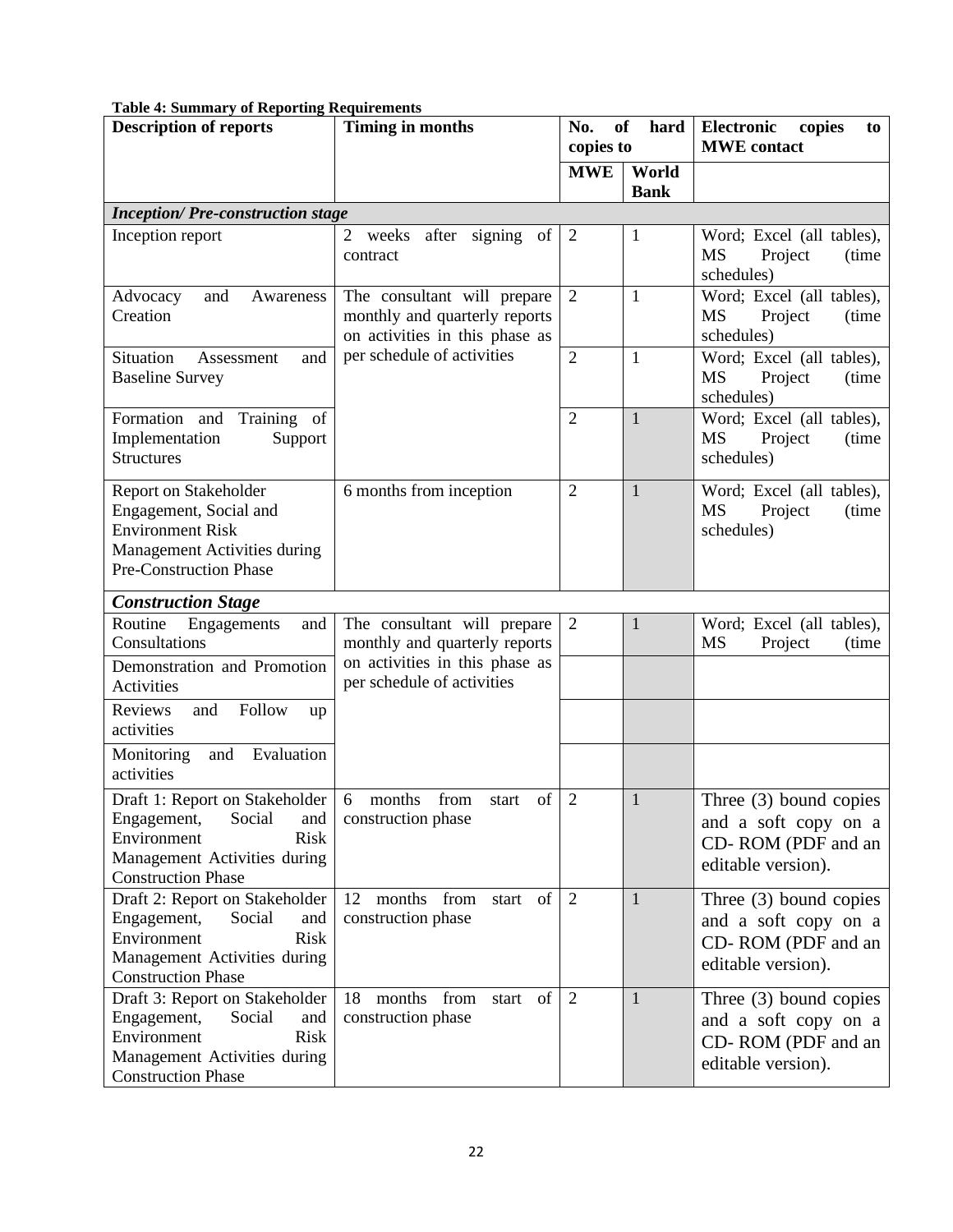| <b>Description of reports</b>                              | <b>Timing in months</b>            | No.<br><b>of</b><br>hard<br>copies to |                      | Electronic<br>copies<br>to<br><b>MWE</b> contact |
|------------------------------------------------------------|------------------------------------|---------------------------------------|----------------------|--------------------------------------------------|
|                                                            |                                    |                                       |                      |                                                  |
|                                                            |                                    | <b>MWE</b>                            | World<br><b>Bank</b> |                                                  |
| <b>Inception/Pre-construction stage</b>                    |                                    |                                       |                      |                                                  |
| Inception report                                           | after signing<br>2<br>weeks<br>of  | $\overline{2}$                        | $\mathbf 1$          | Word; Excel (all tables),                        |
|                                                            | contract                           |                                       |                      | MS<br>Project<br>(time)                          |
|                                                            |                                    |                                       |                      | schedules)                                       |
| Advocacy<br>and<br>Awareness                               | The consultant will prepare        | $\overline{2}$                        | $\mathbf{1}$         | Word; Excel (all tables),                        |
| Creation                                                   | monthly and quarterly reports      |                                       |                      | <b>MS</b><br>Project<br>(time)                   |
|                                                            | on activities in this phase as     |                                       |                      | schedules)                                       |
| Situation<br>and<br>Assessment                             | per schedule of activities         | $\overline{2}$                        | $\mathbf{1}$         | Word; Excel (all tables),                        |
| <b>Baseline Survey</b>                                     |                                    |                                       |                      | <b>MS</b><br>Project<br>(time)                   |
|                                                            |                                    |                                       |                      | schedules)                                       |
| Formation and<br>Training of                               |                                    | $\overline{2}$                        | $\mathbf{1}$         | Word; Excel (all tables),                        |
| Implementation<br>Support                                  |                                    |                                       |                      | <b>MS</b><br>Project<br>(time)                   |
| <b>Structures</b>                                          |                                    |                                       |                      | schedules)                                       |
| Report on Stakeholder                                      | 6 months from inception            | $\overline{2}$                        | $\mathbf{1}$         | Word; Excel (all tables),                        |
| Engagement, Social and                                     |                                    |                                       |                      | MS<br>Project<br>(time)                          |
| <b>Environment Risk</b>                                    |                                    |                                       |                      | schedules)                                       |
| <b>Management Activities during</b>                        |                                    |                                       |                      |                                                  |
| <b>Pre-Construction Phase</b>                              |                                    |                                       |                      |                                                  |
|                                                            |                                    |                                       |                      |                                                  |
| <b>Construction Stage</b><br>Routine<br>Engagements<br>and | The consultant will prepare        | 2                                     | 1                    | Word; Excel (all tables),                        |
| Consultations                                              | monthly and quarterly reports      |                                       |                      | <b>MS</b><br>Project<br>(time)                   |
| Demonstration and Promotion                                | on activities in this phase as     |                                       |                      |                                                  |
| Activities                                                 | per schedule of activities         |                                       |                      |                                                  |
| Follow<br>Reviews<br>and<br>up                             |                                    |                                       |                      |                                                  |
| activities                                                 |                                    |                                       |                      |                                                  |
| Evaluation<br>Monitoring<br>and                            |                                    |                                       |                      |                                                  |
| activities                                                 |                                    |                                       |                      |                                                  |
| Draft 1: Report on Stakeholder                             | of<br>6<br>months<br>from<br>start | $\overline{2}$                        | 1                    | Three $(3)$ bound copies                         |
| Engagement,<br>Social<br>and                               | construction phase                 |                                       |                      | and a soft copy on a                             |
| Environment<br><b>Risk</b>                                 |                                    |                                       |                      | CD-ROM (PDF and an                               |
| Management Activities during                               |                                    |                                       |                      | editable version).                               |
| <b>Construction Phase</b>                                  |                                    |                                       |                      |                                                  |
| Draft 2: Report on Stakeholder                             | 12 months from<br>start of         | 2                                     | $\mathbf{1}$         | Three $(3)$ bound copies                         |
| Engagement,<br>Social<br>and                               | construction phase                 |                                       |                      | and a soft copy on a                             |
| Environment<br><b>Risk</b>                                 |                                    |                                       |                      | CD-ROM (PDF and an                               |
| Management Activities during<br><b>Construction Phase</b>  |                                    |                                       |                      | editable version).                               |
| Draft 3: Report on Stakeholder                             | months from<br>start of<br>18      | 2                                     | 1                    |                                                  |
| Social<br>Engagement,<br>and                               | construction phase                 |                                       |                      | Three $(3)$ bound copies                         |
| <b>Risk</b><br>Environment                                 |                                    |                                       |                      | and a soft copy on a                             |
| Management Activities during                               |                                    |                                       |                      | CD-ROM (PDF and an                               |
| <b>Construction Phase</b>                                  |                                    |                                       |                      | editable version).                               |

#### <span id="page-24-0"></span>**Table 4: Summary of Reporting Requirements**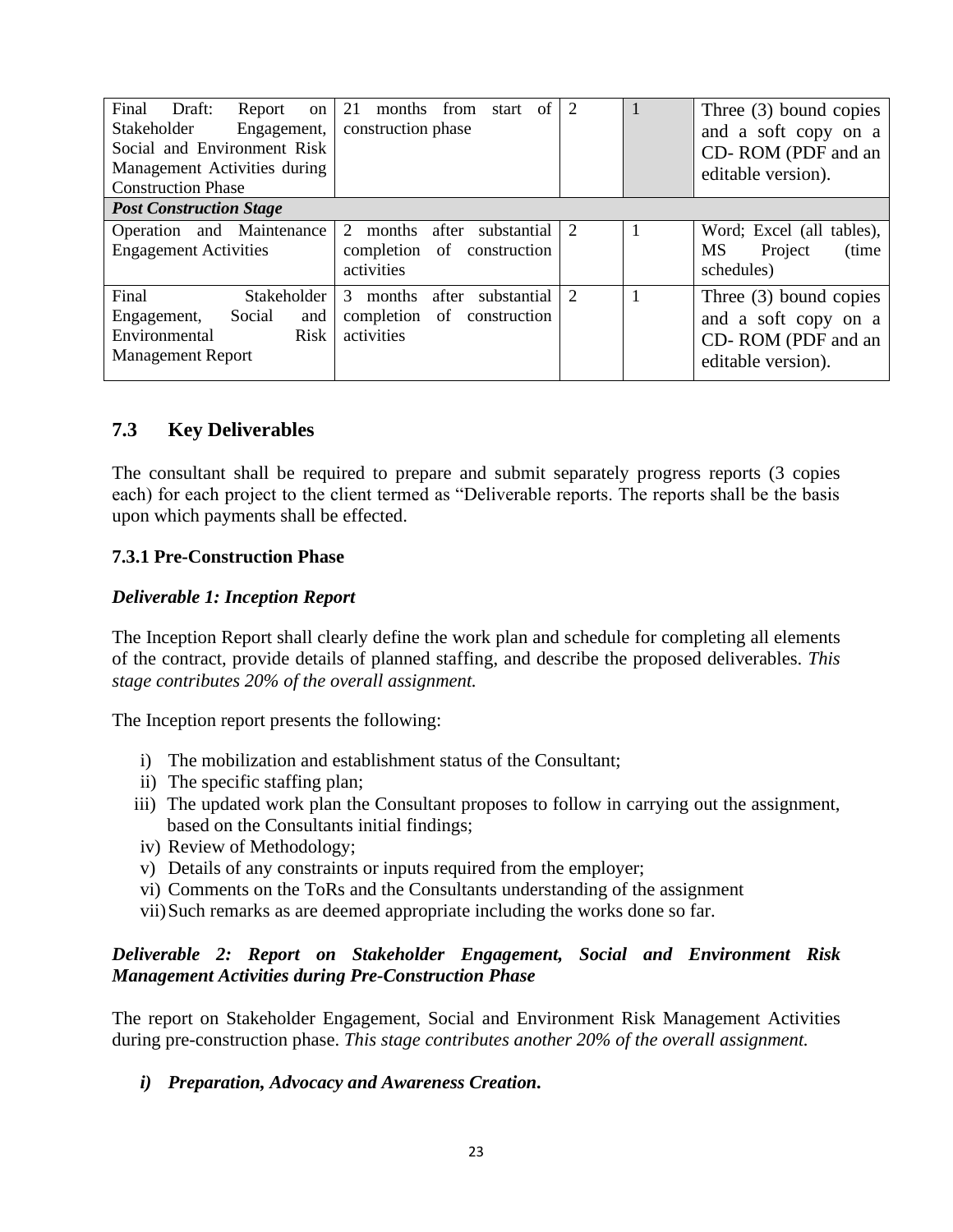| Final<br>Draft:<br>Report<br><sub>on</sub><br>Stakeholder<br>Engagement,<br>Social and Environment Risk<br>Management Activities during<br><b>Construction Phase</b> | of<br>21<br>months<br>from<br>start<br>construction phase                          | 2                           |  | Three $(3)$ bound copies<br>and a soft copy on a<br>CD-ROM (PDF and an<br>editable version). |  |
|----------------------------------------------------------------------------------------------------------------------------------------------------------------------|------------------------------------------------------------------------------------|-----------------------------|--|----------------------------------------------------------------------------------------------|--|
| <b>Post Construction Stage</b>                                                                                                                                       |                                                                                    |                             |  |                                                                                              |  |
| Operation and Maintenance<br><b>Engagement Activities</b>                                                                                                            | 2<br>after<br>months<br>substantial<br>completion of<br>construction<br>activities | $\overline{2}$              |  | Word; Excel (all tables),<br>MS<br>(time)<br>Project<br>schedules)                           |  |
| Final<br><b>Stakeholder</b><br>Social<br>and<br>Engagement,<br>Environmental<br><b>Risk</b><br><b>Management Report</b>                                              | 3<br>after<br>months<br>substantial<br>completion of construction<br>activities    | $\mathcal{D}_{\mathcal{L}}$ |  | Three $(3)$ bound copies<br>and a soft copy on a<br>CD-ROM (PDF and an<br>editable version). |  |

### <span id="page-25-0"></span>**7.3 Key Deliverables**

The consultant shall be required to prepare and submit separately progress reports (3 copies each) for each project to the client termed as "Deliverable reports. The reports shall be the basis upon which payments shall be effected.

#### **7.3.1 Pre-Construction Phase**

#### *Deliverable 1: Inception Report*

The Inception Report shall clearly define the work plan and schedule for completing all elements of the contract, provide details of planned staffing, and describe the proposed deliverables. *This stage contributes 20% of the overall assignment.*

The Inception report presents the following:

- i) The mobilization and establishment status of the Consultant;
- ii) The specific staffing plan;
- iii) The updated work plan the Consultant proposes to follow in carrying out the assignment, based on the Consultants initial findings;
- iv) Review of Methodology;
- v) Details of any constraints or inputs required from the employer;
- vi) Comments on the ToRs and the Consultants understanding of the assignment
- vii)Such remarks as are deemed appropriate including the works done so far.

#### *Deliverable 2: Report on Stakeholder Engagement, Social and Environment Risk Management Activities during Pre-Construction Phase*

The report on Stakeholder Engagement, Social and Environment Risk Management Activities during pre-construction phase. *This stage contributes another 20% of the overall assignment.*

*i) Preparation, Advocacy and Awareness Creation.*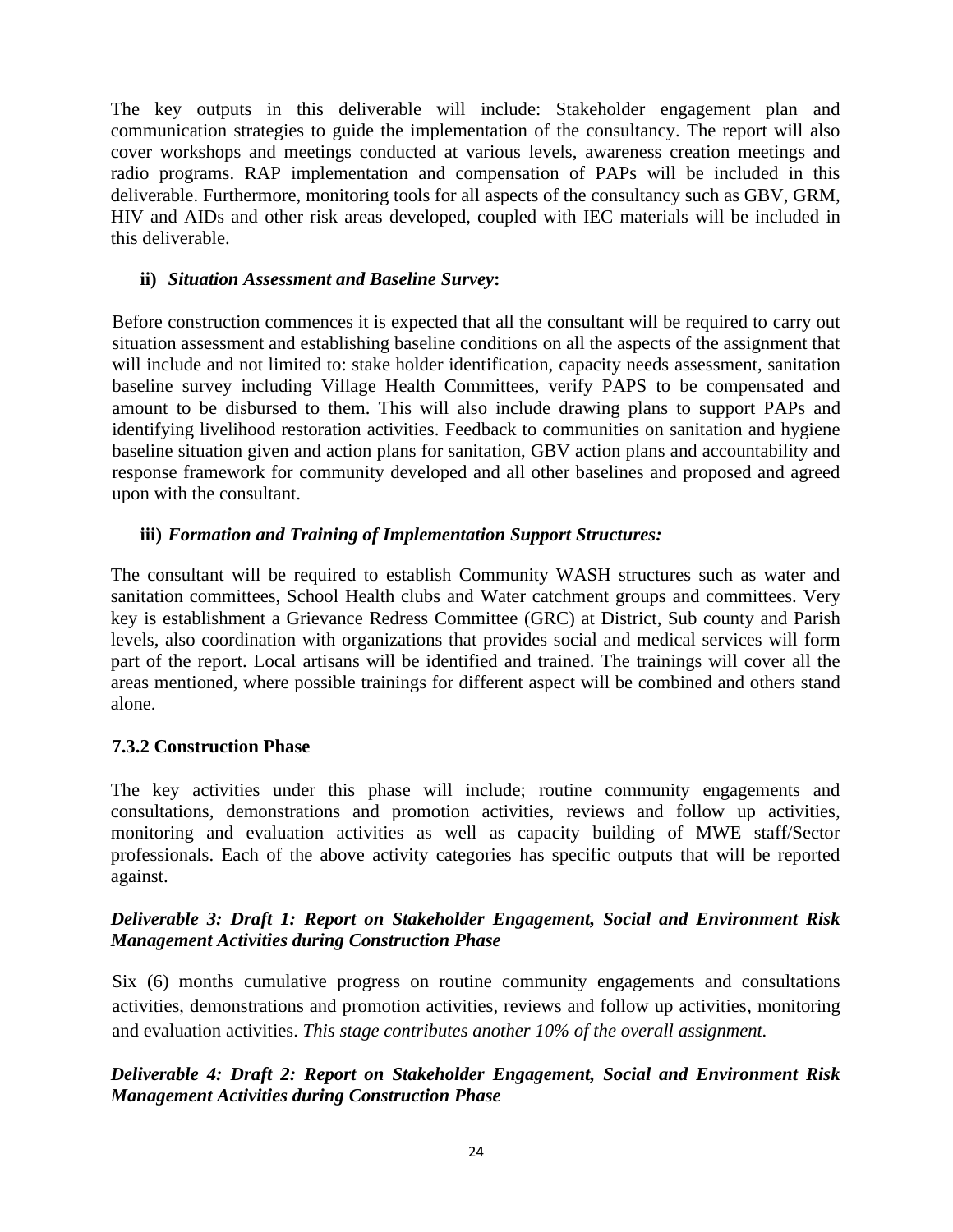The key outputs in this deliverable will include: Stakeholder engagement plan and communication strategies to guide the implementation of the consultancy. The report will also cover workshops and meetings conducted at various levels, awareness creation meetings and radio programs. RAP implementation and compensation of PAPs will be included in this deliverable. Furthermore, monitoring tools for all aspects of the consultancy such as GBV, GRM, HIV and AIDs and other risk areas developed, coupled with IEC materials will be included in this deliverable.

#### **ii)** *Situation Assessment and Baseline Survey***:**

Before construction commences it is expected that all the consultant will be required to carry out situation assessment and establishing baseline conditions on all the aspects of the assignment that will include and not limited to: stake holder identification, capacity needs assessment, sanitation baseline survey including Village Health Committees, verify PAPS to be compensated and amount to be disbursed to them. This will also include drawing plans to support PAPs and identifying livelihood restoration activities. Feedback to communities on sanitation and hygiene baseline situation given and action plans for sanitation, GBV action plans and accountability and response framework for community developed and all other baselines and proposed and agreed upon with the consultant.

#### **iii)** *Formation and Training of Implementation Support Structures:*

The consultant will be required to establish Community WASH structures such as water and sanitation committees, School Health clubs and Water catchment groups and committees. Very key is establishment a Grievance Redress Committee (GRC) at District, Sub county and Parish levels, also coordination with organizations that provides social and medical services will form part of the report. Local artisans will be identified and trained. The trainings will cover all the areas mentioned, where possible trainings for different aspect will be combined and others stand alone.

#### **7.3.2 Construction Phase**

The key activities under this phase will include; routine community engagements and consultations, demonstrations and promotion activities, reviews and follow up activities, monitoring and evaluation activities as well as capacity building of MWE staff/Sector professionals. Each of the above activity categories has specific outputs that will be reported against.

#### *Deliverable 3: Draft 1: Report on Stakeholder Engagement, Social and Environment Risk Management Activities during Construction Phase*

Six (6) months cumulative progress on routine community engagements and consultations activities, demonstrations and promotion activities, reviews and follow up activities, monitoring and evaluation activities. *This stage contributes another 10% of the overall assignment.*

### *Deliverable 4: Draft 2: Report on Stakeholder Engagement, Social and Environment Risk Management Activities during Construction Phase*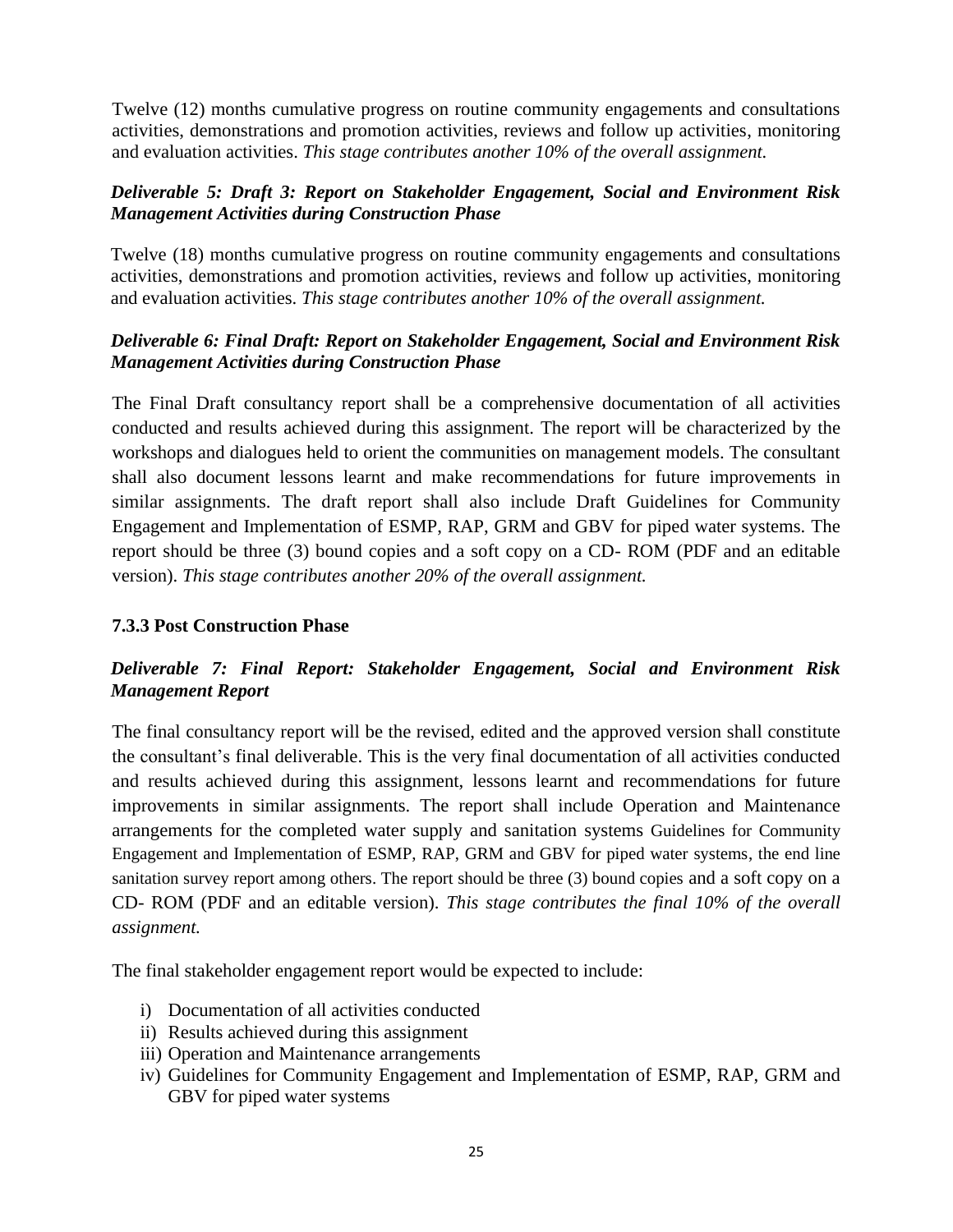Twelve (12) months cumulative progress on routine community engagements and consultations activities, demonstrations and promotion activities, reviews and follow up activities, monitoring and evaluation activities. *This stage contributes another 10% of the overall assignment.*

#### *Deliverable 5: Draft 3: Report on Stakeholder Engagement, Social and Environment Risk Management Activities during Construction Phase*

Twelve (18) months cumulative progress on routine community engagements and consultations activities, demonstrations and promotion activities, reviews and follow up activities, monitoring and evaluation activities. *This stage contributes another 10% of the overall assignment.*

### *Deliverable 6: Final Draft: Report on Stakeholder Engagement, Social and Environment Risk Management Activities during Construction Phase*

The Final Draft consultancy report shall be a comprehensive documentation of all activities conducted and results achieved during this assignment. The report will be characterized by the workshops and dialogues held to orient the communities on management models. The consultant shall also document lessons learnt and make recommendations for future improvements in similar assignments. The draft report shall also include Draft Guidelines for Community Engagement and Implementation of ESMP, RAP, GRM and GBV for piped water systems. The report should be three (3) bound copies and a soft copy on a CD- ROM (PDF and an editable version). *This stage contributes another 20% of the overall assignment.*

#### **7.3.3 Post Construction Phase**

### *Deliverable 7: Final Report: Stakeholder Engagement, Social and Environment Risk Management Report*

The final consultancy report will be the revised, edited and the approved version shall constitute the consultant's final deliverable. This is the very final documentation of all activities conducted and results achieved during this assignment, lessons learnt and recommendations for future improvements in similar assignments. The report shall include Operation and Maintenance arrangements for the completed water supply and sanitation systems Guidelines for Community Engagement and Implementation of ESMP, RAP, GRM and GBV for piped water systems, the end line sanitation survey report among others. The report should be three (3) bound copies and a soft copy on a CD- ROM (PDF and an editable version). *This stage contributes the final 10% of the overall assignment.*

The final stakeholder engagement report would be expected to include:

- i) Documentation of all activities conducted
- ii) Results achieved during this assignment
- iii) Operation and Maintenance arrangements
- iv) Guidelines for Community Engagement and Implementation of ESMP, RAP, GRM and GBV for piped water systems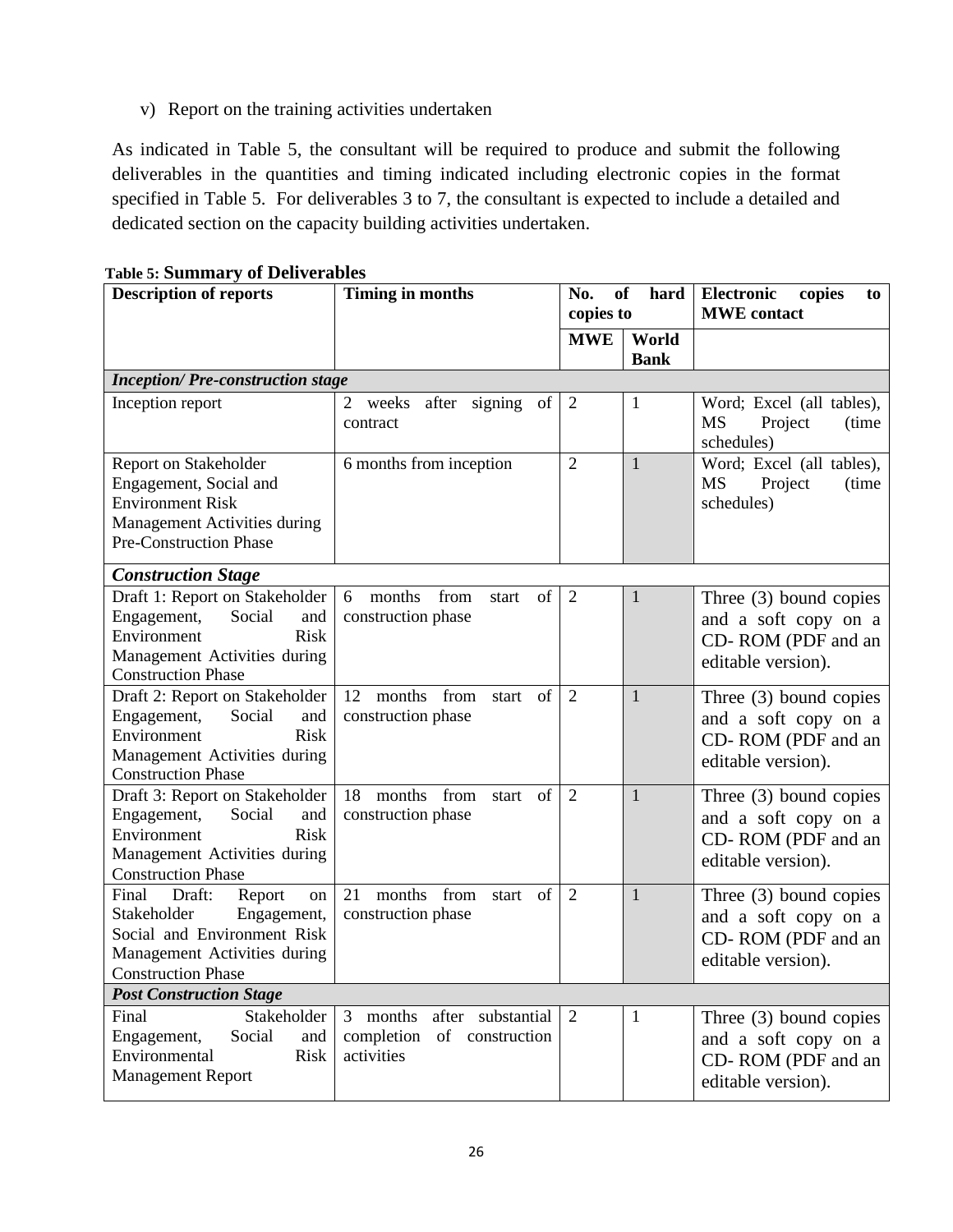v) Report on the training activities undertaken

As indicated in Table 5, the consultant will be required to produce and submit the following deliverables in the quantities and timing indicated including electronic copies in the format specified in Table 5. For deliverables 3 to 7, the consultant is expected to include a detailed and dedicated section on the capacity building activities undertaken.

| <b>Description of reports</b>                                                                                                                             | <b>Timing in months</b>                                                      | No.<br><b>of</b><br>hard<br>copies to |                      | <b>Electronic</b><br>copies<br>to<br><b>MWE</b> contact                                      |  |  |
|-----------------------------------------------------------------------------------------------------------------------------------------------------------|------------------------------------------------------------------------------|---------------------------------------|----------------------|----------------------------------------------------------------------------------------------|--|--|
|                                                                                                                                                           |                                                                              | <b>MWE</b>                            | World<br><b>Bank</b> |                                                                                              |  |  |
| <b>Inception/Pre-construction stage</b>                                                                                                                   |                                                                              |                                       |                      |                                                                                              |  |  |
| Inception report                                                                                                                                          | after<br>signing<br>2<br>weeks<br>of<br>contract                             | $\overline{2}$                        | $\mathbf{1}$         | Word; Excel (all tables),<br><b>MS</b><br>Project<br>(time)<br>schedules)                    |  |  |
| Report on Stakeholder<br>Engagement, Social and<br><b>Environment Risk</b><br>Management Activities during<br><b>Pre-Construction Phase</b>               | 6 months from inception                                                      | $\overline{2}$                        | 1                    | Word; Excel (all tables),<br><b>MS</b><br>Project<br>(time)<br>schedules)                    |  |  |
| <b>Construction Stage</b>                                                                                                                                 |                                                                              |                                       |                      |                                                                                              |  |  |
| Draft 1: Report on Stakeholder<br>Engagement,<br>Social<br>and<br><b>Risk</b><br>Environment<br>Management Activities during<br><b>Construction Phase</b> | from<br>of<br>months<br>6<br>start<br>construction phase                     | 2                                     | 1                    | Three (3) bound copies<br>and a soft copy on a<br>CD-ROM (PDF and an<br>editable version).   |  |  |
| Draft 2: Report on Stakeholder<br>Engagement,<br>Social<br>and<br>Environment<br><b>Risk</b><br>Management Activities during<br><b>Construction Phase</b> | 12<br>months<br>from<br>of<br>start<br>construction phase                    | $\overline{2}$                        | $\mathbf{1}$         | Three (3) bound copies<br>and a soft copy on a<br>CD-ROM (PDF and an<br>editable version).   |  |  |
| Draft 3: Report on Stakeholder<br>Engagement,<br>Social<br>and<br>Environment<br><b>Risk</b><br>Management Activities during<br><b>Construction Phase</b> | from<br>18<br>months<br>of<br>start<br>construction phase                    | 2                                     | $\mathbf{1}$         | Three $(3)$ bound copies<br>and a soft copy on a<br>CD-ROM (PDF and an<br>editable version). |  |  |
| Draft:<br>Final<br>Report<br>on<br>Engagement,<br>Stakeholder<br>Social and Environment Risk<br>Management Activities during<br><b>Construction Phase</b> | months from<br>of<br>21<br>start<br>construction phase                       | 2                                     | $\mathbf{1}$         | Three $(3)$ bound copies<br>and a soft copy on a<br>CD-ROM (PDF and an<br>editable version). |  |  |
| <b>Post Construction Stage</b>                                                                                                                            |                                                                              |                                       |                      |                                                                                              |  |  |
| Stakeholder<br>Final<br>Engagement,<br>Social<br>and<br>Environmental<br><b>Risk</b><br><b>Management Report</b>                                          | months<br>after substantial<br>3<br>completion of construction<br>activities | 2                                     | 1                    | Three $(3)$ bound copies<br>and a soft copy on a<br>CD-ROM (PDF and an<br>editable version). |  |  |

<span id="page-28-0"></span>**Table 5: Summary of Deliverables**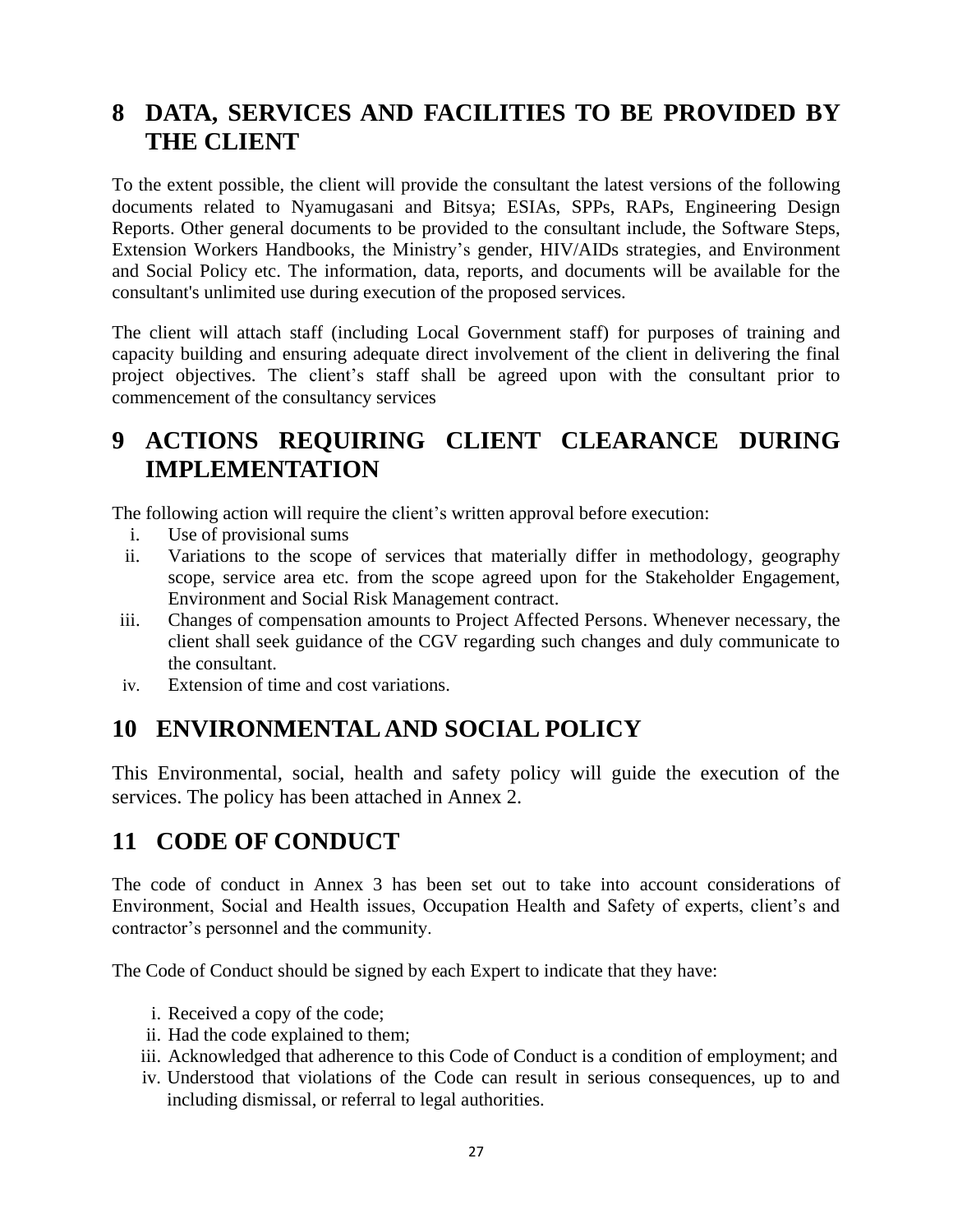# <span id="page-29-0"></span>**8 DATA, SERVICES AND FACILITIES TO BE PROVIDED BY THE CLIENT**

To the extent possible, the client will provide the consultant the latest versions of the following documents related to Nyamugasani and Bitsya; ESIAs, SPPs, RAPs, Engineering Design Reports. Other general documents to be provided to the consultant include, the Software Steps, Extension Workers Handbooks, the Ministry's gender, HIV/AIDs strategies, and Environment and Social Policy etc. The information, data, reports, and documents will be available for the consultant's unlimited use during execution of the proposed services.

The client will attach staff (including Local Government staff) for purposes of training and capacity building and ensuring adequate direct involvement of the client in delivering the final project objectives. The client's staff shall be agreed upon with the consultant prior to commencement of the consultancy services

# <span id="page-29-1"></span>**9 ACTIONS REQUIRING CLIENT CLEARANCE DURING IMPLEMENTATION**

The following action will require the client's written approval before execution:

- i. Use of provisional sums
- ii. Variations to the scope of services that materially differ in methodology, geography scope, service area etc. from the scope agreed upon for the Stakeholder Engagement, Environment and Social Risk Management contract.
- iii. Changes of compensation amounts to Project Affected Persons. Whenever necessary, the client shall seek guidance of the CGV regarding such changes and duly communicate to the consultant.
- iv. Extension of time and cost variations.

# <span id="page-29-2"></span>**10 ENVIRONMENTAL AND SOCIAL POLICY**

This Environmental, social, health and safety policy will guide the execution of the services. The policy has been attached in Annex 2.

# <span id="page-29-3"></span>**11 CODE OF CONDUCT**

The code of conduct in Annex 3 has been set out to take into account considerations of Environment, Social and Health issues, Occupation Health and Safety of experts, client's and contractor's personnel and the community.

The Code of Conduct should be signed by each Expert to indicate that they have:

- i. Received a copy of the code;
- ii. Had the code explained to them;
- iii. Acknowledged that adherence to this Code of Conduct is a condition of employment; and
- iv. Understood that violations of the Code can result in serious consequences, up to and including dismissal, or referral to legal authorities.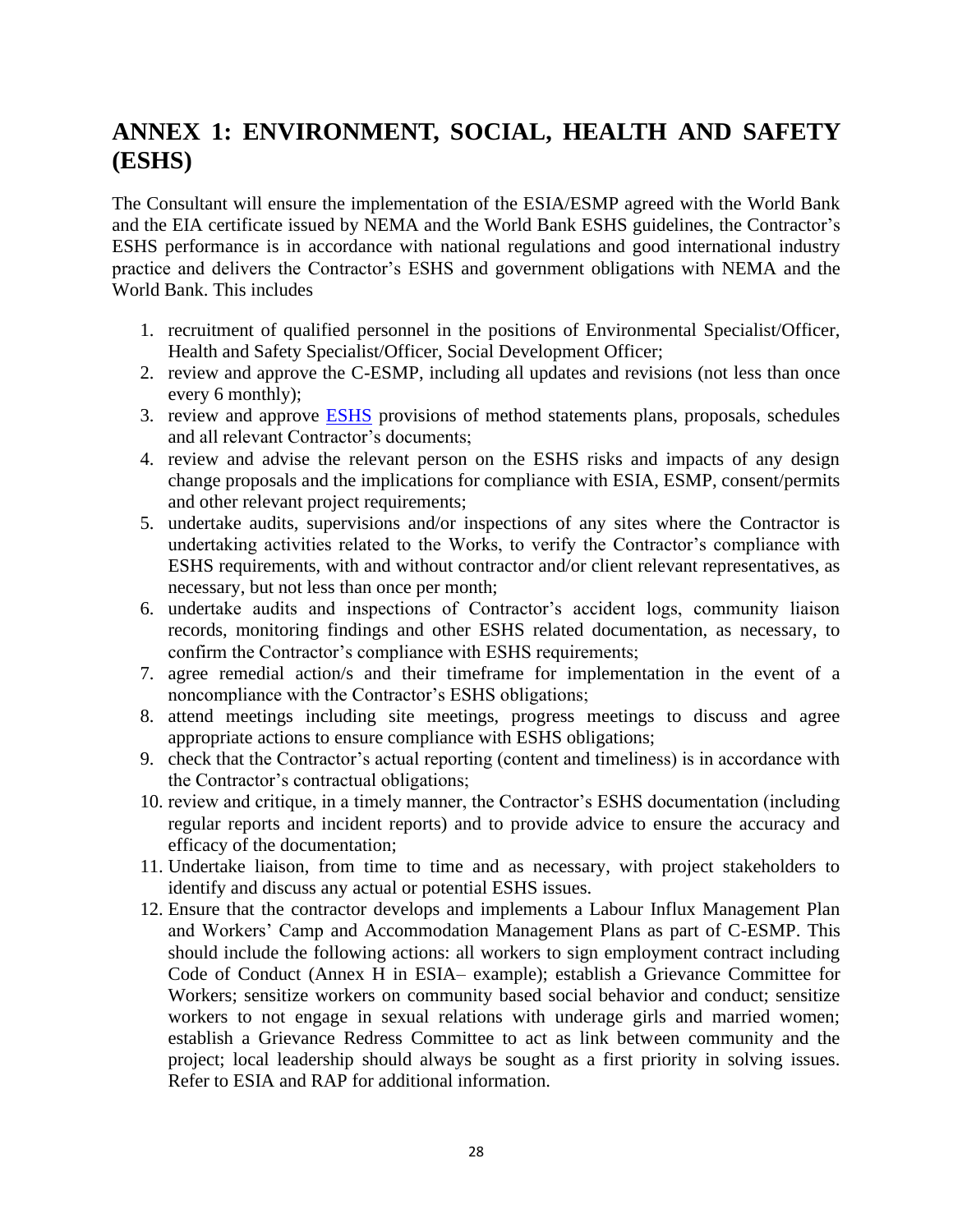# <span id="page-30-0"></span>**ANNEX 1: ENVIRONMENT, SOCIAL, HEALTH AND SAFETY (ESHS)**

The Consultant will ensure the implementation of the ESIA/ESMP agreed with the World Bank and the EIA certificate issued by NEMA and the World Bank ESHS guidelines, the Contractor's ESHS performance is in accordance with national regulations and good international industry practice and delivers the Contractor's ESHS and government obligations with NEMA and the World Bank. This includes

- 1. recruitment of qualified personnel in the positions of Environmental Specialist/Officer, Health and Safety Specialist/Officer, Social Development Officer;
- 2. review and approve the C-ESMP, including all updates and revisions (not less than once every 6 monthly);
- 3. review and approve [ESHS](https://www.ifc.org/wps/wcm/connect/29f5137d-6e17-4660-b1f9-02bf561935e5/Final%2B-%2BGeneral%2BEHS%2BGuidelines.pdf?MOD=AJPERES&CVID=jOWim3p) provisions of method statements plans, proposals, schedules and all relevant Contractor's documents;
- 4. review and advise the relevant person on the ESHS risks and impacts of any design change proposals and the implications for compliance with ESIA, ESMP, consent/permits and other relevant project requirements;
- 5. undertake audits, supervisions and/or inspections of any sites where the Contractor is undertaking activities related to the Works, to verify the Contractor's compliance with ESHS requirements, with and without contractor and/or client relevant representatives, as necessary, but not less than once per month;
- 6. undertake audits and inspections of Contractor's accident logs, community liaison records, monitoring findings and other ESHS related documentation, as necessary, to confirm the Contractor's compliance with ESHS requirements;
- 7. agree remedial action/s and their timeframe for implementation in the event of a noncompliance with the Contractor's ESHS obligations;
- 8. attend meetings including site meetings, progress meetings to discuss and agree appropriate actions to ensure compliance with ESHS obligations;
- 9. check that the Contractor's actual reporting (content and timeliness) is in accordance with the Contractor's contractual obligations;
- 10. review and critique, in a timely manner, the Contractor's ESHS documentation (including regular reports and incident reports) and to provide advice to ensure the accuracy and efficacy of the documentation;
- 11. Undertake liaison, from time to time and as necessary, with project stakeholders to identify and discuss any actual or potential ESHS issues.
- 12. Ensure that the contractor develops and implements a Labour Influx Management Plan and Workers' Camp and Accommodation Management Plans as part of C-ESMP. This should include the following actions: all workers to sign employment contract including Code of Conduct (Annex H in ESIA– example); establish a Grievance Committee for Workers; sensitize workers on community based social behavior and conduct; sensitize workers to not engage in sexual relations with underage girls and married women; establish a Grievance Redress Committee to act as link between community and the project; local leadership should always be sought as a first priority in solving issues. Refer to ESIA and RAP for additional information.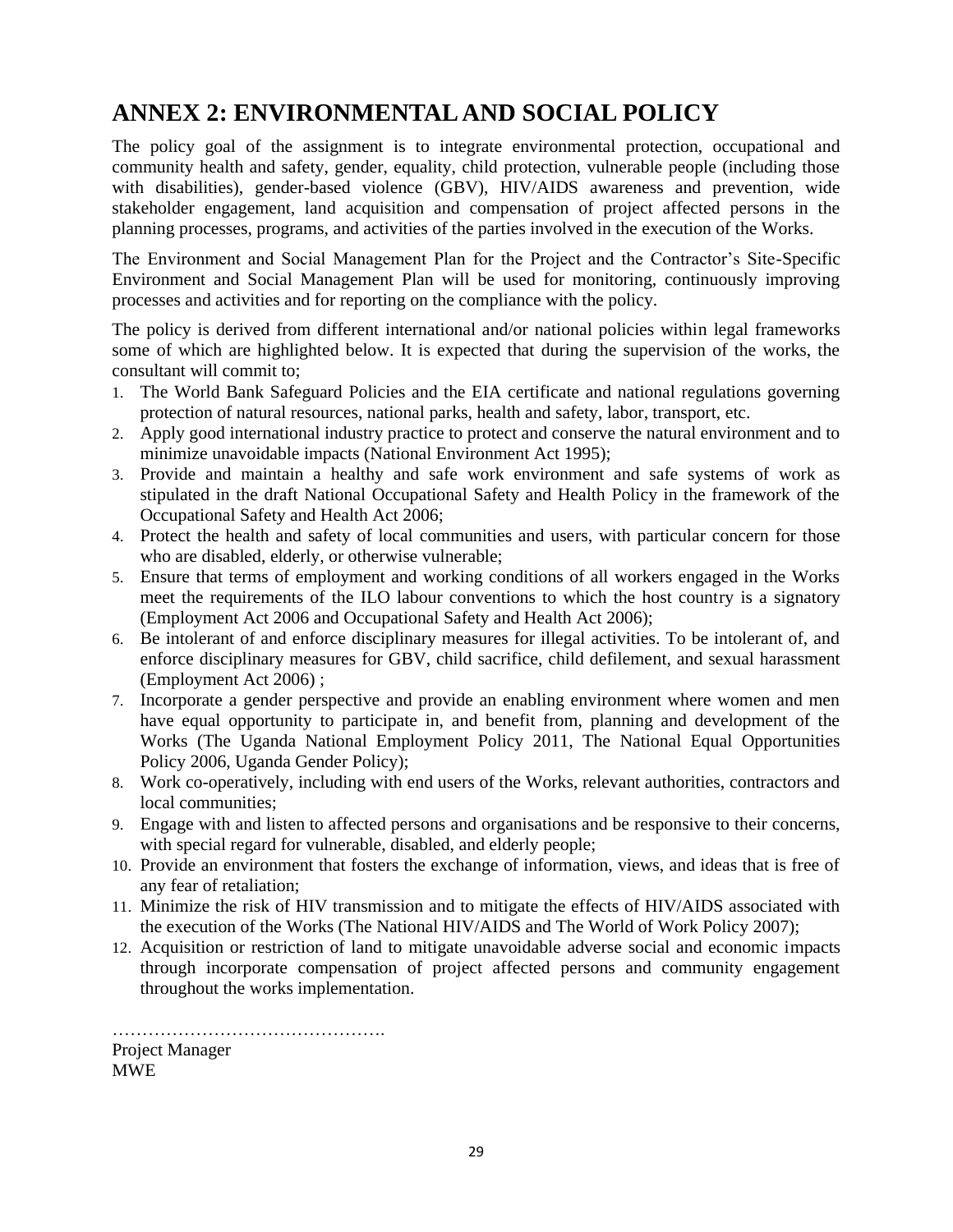# <span id="page-31-0"></span>**ANNEX 2: ENVIRONMENTAL AND SOCIAL POLICY**

The policy goal of the assignment is to integrate environmental protection, occupational and community health and safety, gender, equality, child protection, vulnerable people (including those with disabilities), gender-based violence (GBV), HIV/AIDS awareness and prevention, wide stakeholder engagement, land acquisition and compensation of project affected persons in the planning processes, programs, and activities of the parties involved in the execution of the Works.

The Environment and Social Management Plan for the Project and the Contractor's Site-Specific Environment and Social Management Plan will be used for monitoring, continuously improving processes and activities and for reporting on the compliance with the policy.

The policy is derived from different international and/or national policies within legal frameworks some of which are highlighted below. It is expected that during the supervision of the works, the consultant will commit to;

- 1. The World Bank Safeguard Policies and the EIA certificate and national regulations governing protection of natural resources, national parks, health and safety, labor, transport, etc.
- 2. Apply good international industry practice to protect and conserve the natural environment and to minimize unavoidable impacts (National Environment Act 1995);
- 3. Provide and maintain a healthy and safe work environment and safe systems of work as stipulated in the draft National Occupational Safety and Health Policy in the framework of the Occupational Safety and Health Act 2006;
- 4. Protect the health and safety of local communities and users, with particular concern for those who are disabled, elderly, or otherwise vulnerable;
- 5. Ensure that terms of employment and working conditions of all workers engaged in the Works meet the requirements of the ILO labour conventions to which the host country is a signatory (Employment Act 2006 and Occupational Safety and Health Act 2006);
- 6. Be intolerant of and enforce disciplinary measures for illegal activities. To be intolerant of, and enforce disciplinary measures for GBV, child sacrifice, child defilement, and sexual harassment (Employment Act 2006) ;
- 7. Incorporate a gender perspective and provide an enabling environment where women and men have equal opportunity to participate in, and benefit from, planning and development of the Works (The Uganda National Employment Policy 2011, The National Equal Opportunities Policy 2006, Uganda Gender Policy);
- 8. Work co-operatively, including with end users of the Works, relevant authorities, contractors and local communities;
- 9. Engage with and listen to affected persons and organisations and be responsive to their concerns, with special regard for vulnerable, disabled, and elderly people;
- 10. Provide an environment that fosters the exchange of information, views, and ideas that is free of any fear of retaliation;
- 11. Minimize the risk of HIV transmission and to mitigate the effects of HIV/AIDS associated with the execution of the Works (The National HIV/AIDS and The World of Work Policy 2007);
- 12. Acquisition or restriction of land to mitigate unavoidable adverse social and economic impacts through incorporate compensation of project affected persons and community engagement throughout the works implementation.

………………………………………. Project Manager MWE